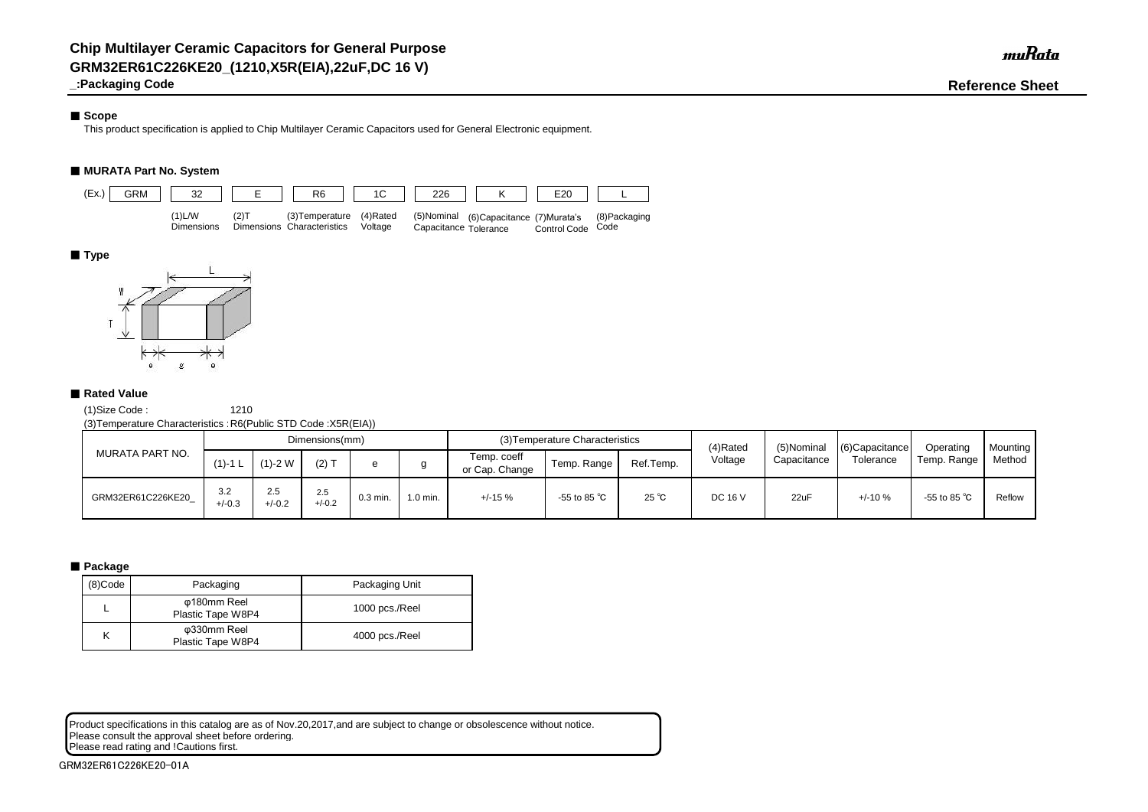# ■ Scope

**\_:Packaging Code Reference Sheet**

This product specification is applied to Chip Multilayer Ceramic Capacitors used for General Electronic equipment.

# ■ **MURATA Part No. System**

(1)Size Code : 1210

(3)Temperature Characteristics :R6(Public STD Code :X5R(EIA))

# ■ **Package**

Product specifications in this catalog are as of Nov.20,2017,and are subject to change or obsolescence without notice. Please consult the approval sheet before ordering. Please read rating and !Cautions first.

|                   |                 |                 | Dimensions(mm)  |            |           |                               | (3) Temperature Characteristics |                | (4)Rated       | (5)Nominal  | $(6)$ Capacitance | Operating              | <b>Mounting</b> |
|-------------------|-----------------|-----------------|-----------------|------------|-----------|-------------------------------|---------------------------------|----------------|----------------|-------------|-------------------|------------------------|-----------------|
| MURATA PART NO.   | $(1) - 1$ L     | $(1)-2$ W       | $(2)$ T         |            |           | Temp. coeff<br>or Cap. Change | Temp. Range                     | Ref.Temp.      | Voltage        | Capacitance | Tolerance         | Temp. Range            | Method          |
| GRM32ER61C226KE20 | 3.2<br>$+/-0.3$ | 2.5<br>$+/-0.2$ | 2.5<br>$+/-0.2$ | $0.3$ min. | $.0$ min. | $+/-15%$                      | -55 to 85 $^{\circ}$ C          | $25^{\circ}$ C | <b>DC 16 V</b> | 22uF        | $+/-10%$          | -55 to 85 $^{\circ}$ C | Reflow          |

| (8)Code | Packaging                        | Packaging Unit |
|---------|----------------------------------|----------------|
|         | φ180mm Reel<br>Plastic Tape W8P4 | 1000 pcs./Reel |
|         | φ330mm Reel<br>Plastic Tape W8P4 | 4000 pcs./Reel |



# ■ **Type**



# ■ Rated Value

muRata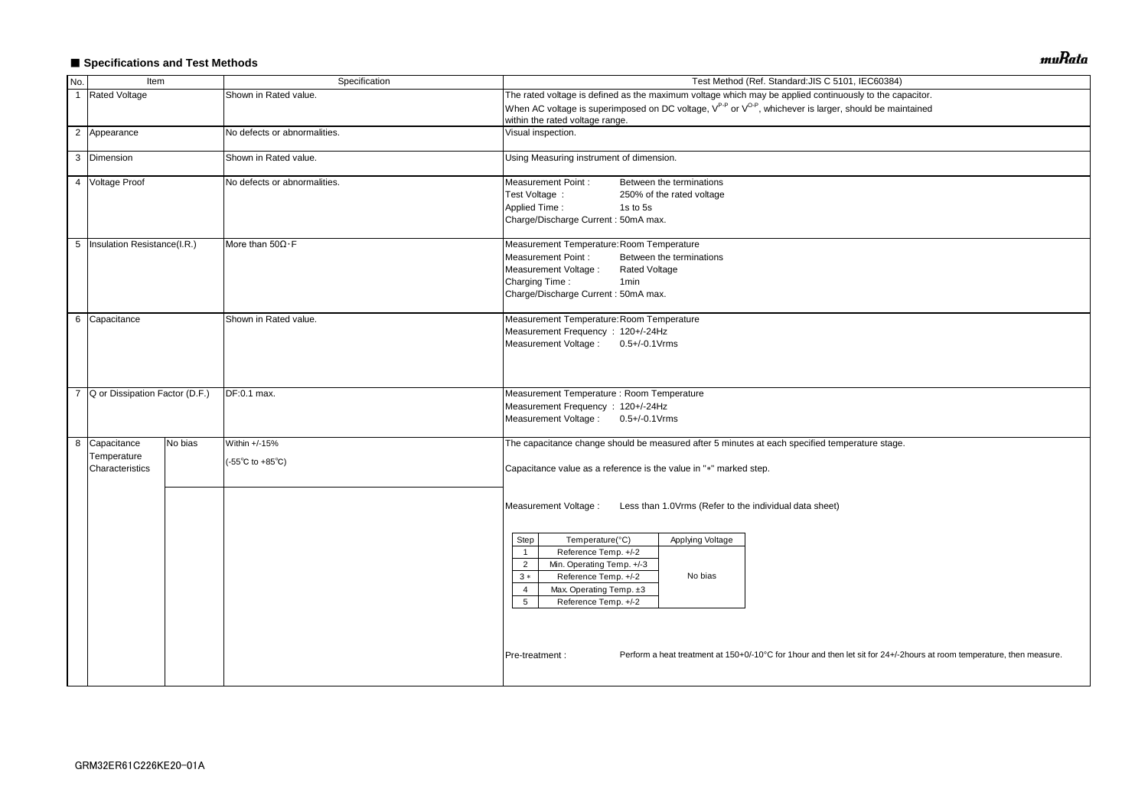# ■ Specifications and Test Methods

| No.            | Item                                                            |         | Specification                                              | Test Method (Ref. Standard: JIS C 5101, IEC60384)                                                                                                                                                                                             |  |  |  |  |  |
|----------------|-----------------------------------------------------------------|---------|------------------------------------------------------------|-----------------------------------------------------------------------------------------------------------------------------------------------------------------------------------------------------------------------------------------------|--|--|--|--|--|
| $\overline{1}$ | <b>Rated Voltage</b>                                            |         | Shown in Rated value.                                      | The rated voltage is defined as the maximum voltage which may be applied continuously to the capacitor.                                                                                                                                       |  |  |  |  |  |
|                |                                                                 |         |                                                            | When AC voltage is superimposed on DC voltage, V <sup>P-P</sup> or V <sup>O-P</sup> , whichever is larger, should be maintained<br>within the rated voltage range.                                                                            |  |  |  |  |  |
|                | 2 Appearance                                                    |         | No defects or abnormalities.                               | Visual inspection.                                                                                                                                                                                                                            |  |  |  |  |  |
|                | 3 Dimension                                                     |         | Shown in Rated value.                                      | Using Measuring instrument of dimension.                                                                                                                                                                                                      |  |  |  |  |  |
|                | 4 Voltage Proof<br>No defects or abnormalities.                 |         |                                                            | <b>Measurement Point:</b><br>Between the terminations<br>Test Voltage :<br>250% of the rated voltage<br><b>Applied Time:</b><br>1s to 5s<br>Charge/Discharge Current: 50mA max.                                                               |  |  |  |  |  |
|                | 5   Insulation Resistance(I.R.)<br>More than $50\Omega \cdot F$ |         |                                                            | Measurement Temperature: Room Temperature<br><b>Measurement Point:</b><br>Between the terminations<br>Measurement Voltage :<br><b>Rated Voltage</b><br>Charging Time:<br>1 <sub>min</sub><br>Charge/Discharge Current: 50mA max.              |  |  |  |  |  |
|                | 6 Capacitance                                                   |         | Shown in Rated value.                                      | Measurement Temperature: Room Temperature<br>Measurement Frequency: 120+/-24Hz<br>Measurement Voltage:<br>$0.5 + (-0.1 \text{V} \cdot \text{rms})$                                                                                            |  |  |  |  |  |
| $\overline{7}$ | Q or Dissipation Factor (D.F.)<br>DF:0.1 max.                   |         |                                                            | Measurement Temperature : Room Temperature<br>Measurement Frequency: 120+/-24Hz<br>Measurement Voltage: 0.5+/-0.1Vrms                                                                                                                         |  |  |  |  |  |
|                | 8 Capacitance<br>Temperature<br>Characteristics                 | No bias | Within +/-15%<br>$(-55^{\circ}C \text{ to } +85^{\circ}C)$ | The capacitance change should be measured after 5 minutes at each specified temperature stage.<br>Capacitance value as a reference is the value in "*" marked step.                                                                           |  |  |  |  |  |
|                |                                                                 |         |                                                            | Measurement Voltage :<br>Less than 1.0Vrms (Refer to the individual data sheet)                                                                                                                                                               |  |  |  |  |  |
|                |                                                                 |         |                                                            | Temperature(°C)<br>Applying Voltage<br>Step<br>Reference Temp. +/-2<br>$\overline{1}$<br>Min. Operating Temp. +/-3<br>$\overline{2}$<br>Reference Temp. +/-2<br>No bias<br>$3 *$<br>Max. Operating Temp. ±3<br>4<br>5<br>Reference Temp. +/-2 |  |  |  |  |  |
|                |                                                                 |         |                                                            | Perform a heat treatment at 150+0/-10°C for 1hour and then let sit for 24+/-2hours at room temperature, then measure.<br>Pre-treatment :                                                                                                      |  |  |  |  |  |

muRata

| acitor.                                 |  |
|-----------------------------------------|--|
| tained                                  |  |
|                                         |  |
|                                         |  |
|                                         |  |
|                                         |  |
|                                         |  |
|                                         |  |
|                                         |  |
|                                         |  |
|                                         |  |
|                                         |  |
|                                         |  |
|                                         |  |
|                                         |  |
|                                         |  |
|                                         |  |
|                                         |  |
|                                         |  |
|                                         |  |
|                                         |  |
|                                         |  |
|                                         |  |
|                                         |  |
|                                         |  |
|                                         |  |
|                                         |  |
|                                         |  |
|                                         |  |
|                                         |  |
|                                         |  |
|                                         |  |
|                                         |  |
|                                         |  |
|                                         |  |
|                                         |  |
|                                         |  |
| ours at room temperature, then measure. |  |
|                                         |  |
|                                         |  |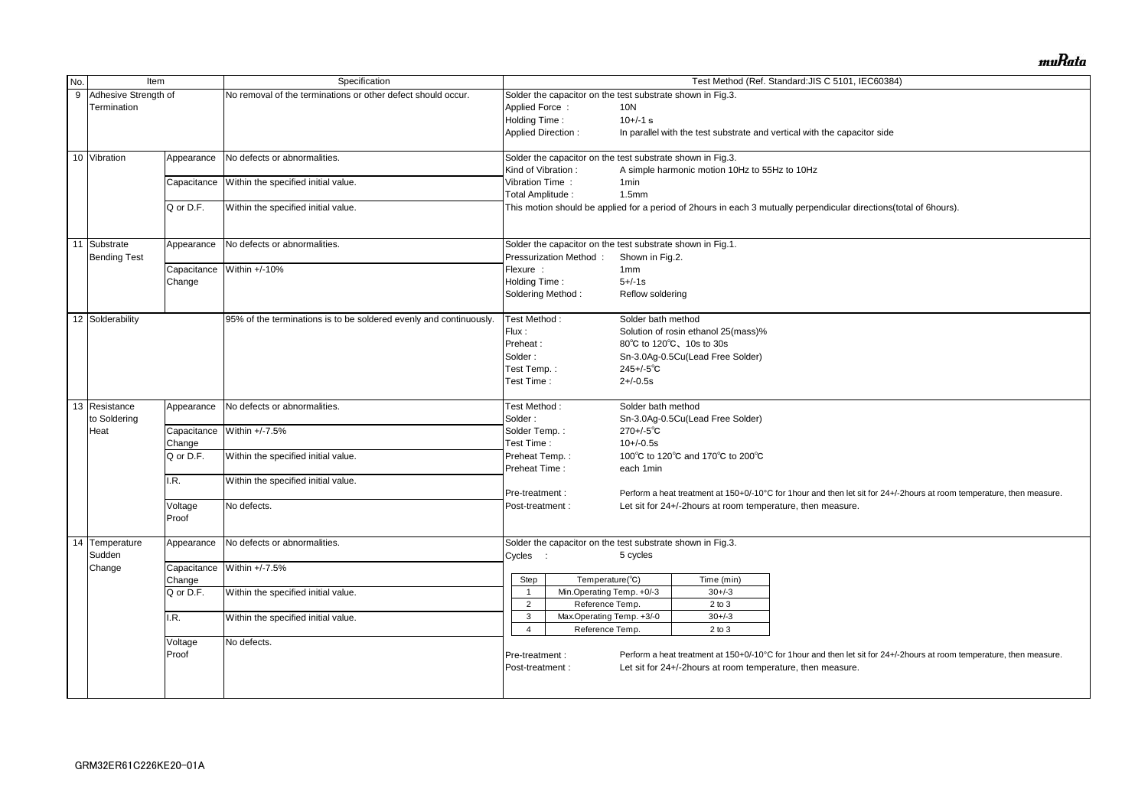| No. |                           | Specification<br>Item |                                                                    | Test Method (Ref. Standard: JIS C 5101, IEC60384) |                                                            |                    |                                                                          |                                                                                                                       |  |  |
|-----|---------------------------|-----------------------|--------------------------------------------------------------------|---------------------------------------------------|------------------------------------------------------------|--------------------|--------------------------------------------------------------------------|-----------------------------------------------------------------------------------------------------------------------|--|--|
|     | Adhesive Strength of<br>9 |                       | No removal of the terminations or other defect should occur.       |                                                   | Solder the capacitor on the test substrate shown in Fig.3. |                    |                                                                          |                                                                                                                       |  |  |
|     | Termination               |                       |                                                                    | Applied Force:                                    |                                                            | 10N                |                                                                          |                                                                                                                       |  |  |
|     |                           |                       |                                                                    |                                                   | Holding Time:<br>$10+/-1$ s                                |                    |                                                                          |                                                                                                                       |  |  |
|     |                           |                       |                                                                    | <b>Applied Direction:</b>                         |                                                            |                    | In parallel with the test substrate and vertical with the capacitor side |                                                                                                                       |  |  |
|     |                           |                       |                                                                    |                                                   |                                                            |                    |                                                                          |                                                                                                                       |  |  |
|     | 10 Vibration              | Appearance            | No defects or abnormalities.                                       |                                                   | Solder the capacitor on the test substrate shown in Fig.3. |                    |                                                                          |                                                                                                                       |  |  |
|     |                           |                       |                                                                    | Kind of Vibration:                                |                                                            |                    | A simple harmonic motion 10Hz to 55Hz to 10Hz                            |                                                                                                                       |  |  |
|     |                           | Capacitance           | Within the specified initial value.                                | Vibration Time:                                   |                                                            | 1 <sub>min</sub>   |                                                                          |                                                                                                                       |  |  |
|     |                           |                       |                                                                    | Total Amplitude:                                  |                                                            | 1.5mm              |                                                                          |                                                                                                                       |  |  |
|     |                           | Q or D.F.             | Within the specified initial value.                                |                                                   |                                                            |                    |                                                                          | This motion should be applied for a period of 2hours in each 3 mutually perpendicular directions(total of 6hours).    |  |  |
|     |                           |                       |                                                                    |                                                   |                                                            |                    |                                                                          |                                                                                                                       |  |  |
|     | 11<br>Substrate           | Appearance            | No defects or abnormalities.                                       |                                                   | Solder the capacitor on the test substrate shown in Fig.1. |                    |                                                                          |                                                                                                                       |  |  |
|     | <b>Bending Test</b>       |                       |                                                                    |                                                   | Pressurization Method:                                     | Shown in Fig.2.    |                                                                          |                                                                                                                       |  |  |
|     |                           | Capacitance           | Within +/-10%                                                      | Flexure :                                         |                                                            | 1mm                |                                                                          |                                                                                                                       |  |  |
|     |                           | Change                |                                                                    | Holding Time:                                     |                                                            | $5 + (-1s)$        |                                                                          |                                                                                                                       |  |  |
|     |                           |                       |                                                                    | Soldering Method:                                 |                                                            | Reflow soldering   |                                                                          |                                                                                                                       |  |  |
|     |                           |                       |                                                                    |                                                   |                                                            |                    |                                                                          |                                                                                                                       |  |  |
|     | 12 Solderability          |                       | 95% of the terminations is to be soldered evenly and continuously. | Test Method:                                      |                                                            | Solder bath method |                                                                          |                                                                                                                       |  |  |
|     |                           |                       |                                                                    | Flux:                                             |                                                            |                    | Solution of rosin ethanol 25(mass)%                                      |                                                                                                                       |  |  |
|     |                           |                       |                                                                    | Preheat:                                          |                                                            |                    | 80°C to 120°C, 10s to 30s                                                |                                                                                                                       |  |  |
|     |                           |                       |                                                                    | Solder:                                           |                                                            |                    | Sn-3.0Ag-0.5Cu(Lead Free Solder)                                         |                                                                                                                       |  |  |
|     |                           |                       |                                                                    | Test Temp.:                                       |                                                            | $245 + (-5)$ °C    |                                                                          |                                                                                                                       |  |  |
|     |                           |                       |                                                                    | Test Time:                                        |                                                            | $2 + (-0.5s)$      |                                                                          |                                                                                                                       |  |  |
|     |                           |                       |                                                                    |                                                   |                                                            |                    |                                                                          |                                                                                                                       |  |  |
|     | 13 Resistance             | Appearance            | No defects or abnormalities.                                       | Test Method:                                      |                                                            | Solder bath method |                                                                          |                                                                                                                       |  |  |
|     | to Soldering              |                       |                                                                    | Solder:                                           |                                                            |                    | Sn-3.0Ag-0.5Cu(Lead Free Solder)                                         |                                                                                                                       |  |  |
|     | Heat                      | Capacitance           | Within +/-7.5%                                                     | Solder Temp.:                                     |                                                            | $270 + (-5)$ °C    |                                                                          |                                                                                                                       |  |  |
|     |                           | Change                |                                                                    | Test Time:                                        |                                                            | $10 + (-0.5s)$     |                                                                          |                                                                                                                       |  |  |
|     |                           | Q or D.F.             | Within the specified initial value.                                | Preheat Temp.:                                    |                                                            |                    | 100°C to 120°C and 170°C to 200°C                                        |                                                                                                                       |  |  |
|     |                           |                       |                                                                    | Preheat Time:                                     |                                                            | each 1min          |                                                                          |                                                                                                                       |  |  |
|     |                           | I.R.                  | Within the specified initial value.                                |                                                   |                                                            |                    |                                                                          |                                                                                                                       |  |  |
|     |                           |                       |                                                                    |                                                   |                                                            |                    |                                                                          | Perform a heat treatment at 150+0/-10°C for 1hour and then let sit for 24+/-2hours at room temperature, then measure. |  |  |
|     |                           |                       |                                                                    | Pre-treatment :                                   |                                                            |                    |                                                                          |                                                                                                                       |  |  |
|     |                           | Voltage               | No defects.                                                        | Post-treatment :                                  |                                                            |                    | Let sit for 24+/-2hours at room temperature, then measure.               |                                                                                                                       |  |  |
|     |                           | Proof                 |                                                                    |                                                   |                                                            |                    |                                                                          |                                                                                                                       |  |  |
|     | 14<br>Temperature         | Appearance            | No defects or abnormalities.                                       |                                                   | Solder the capacitor on the test substrate shown in Fig.3. |                    |                                                                          |                                                                                                                       |  |  |
|     | Sudden                    |                       |                                                                    | Cycles :                                          |                                                            | 5 cycles           |                                                                          |                                                                                                                       |  |  |
|     | Change                    |                       | Capacitance Within +/-7.5%                                         |                                                   |                                                            |                    |                                                                          |                                                                                                                       |  |  |
|     |                           |                       |                                                                    | Step                                              | Temperature(°C)                                            |                    | Time (min)                                                               |                                                                                                                       |  |  |
|     |                           | Change                |                                                                    |                                                   | Min.Operating Temp. +0/-3                                  |                    | $30 + / -3$                                                              |                                                                                                                       |  |  |
|     |                           | Q or D.F.             | Within the specified initial value.                                |                                                   |                                                            |                    |                                                                          |                                                                                                                       |  |  |
|     |                           |                       |                                                                    | $\overline{2}$                                    | Reference Temp.                                            |                    | $2$ to $3$                                                               |                                                                                                                       |  |  |
|     |                           | I.R.                  | Within the specified initial value.                                | 3                                                 | Max.Operating Temp. +3/-0                                  |                    | $30 + -3$                                                                |                                                                                                                       |  |  |
|     |                           |                       |                                                                    | 4                                                 | Reference Temp.                                            |                    | $2$ to $3$                                                               |                                                                                                                       |  |  |
|     |                           | Voltage               | No defects.                                                        |                                                   |                                                            |                    |                                                                          |                                                                                                                       |  |  |
|     |                           | Proof                 |                                                                    | Pre-treatment :                                   |                                                            |                    |                                                                          | Perform a heat treatment at 150+0/-10°C for 1hour and then let sit for 24+/-2hours at room temperature, then measure. |  |  |
|     |                           |                       |                                                                    | Post-treatment :                                  |                                                            |                    | Let sit for 24+/-2hours at room temperature, then measure.               |                                                                                                                       |  |  |
|     |                           |                       |                                                                    |                                                   |                                                            |                    |                                                                          |                                                                                                                       |  |  |
|     |                           |                       |                                                                    |                                                   |                                                            |                    |                                                                          |                                                                                                                       |  |  |

muRata

| al of 6hours).                          |
|-----------------------------------------|
|                                         |
|                                         |
|                                         |
|                                         |
|                                         |
|                                         |
|                                         |
|                                         |
|                                         |
|                                         |
|                                         |
|                                         |
|                                         |
|                                         |
|                                         |
|                                         |
|                                         |
|                                         |
|                                         |
|                                         |
|                                         |
|                                         |
| ours at room temperature, then measure. |
|                                         |
|                                         |
|                                         |
|                                         |
|                                         |
|                                         |
|                                         |
|                                         |
|                                         |
|                                         |
|                                         |
|                                         |
| ours at room temperature, then measure. |
|                                         |
|                                         |
|                                         |
|                                         |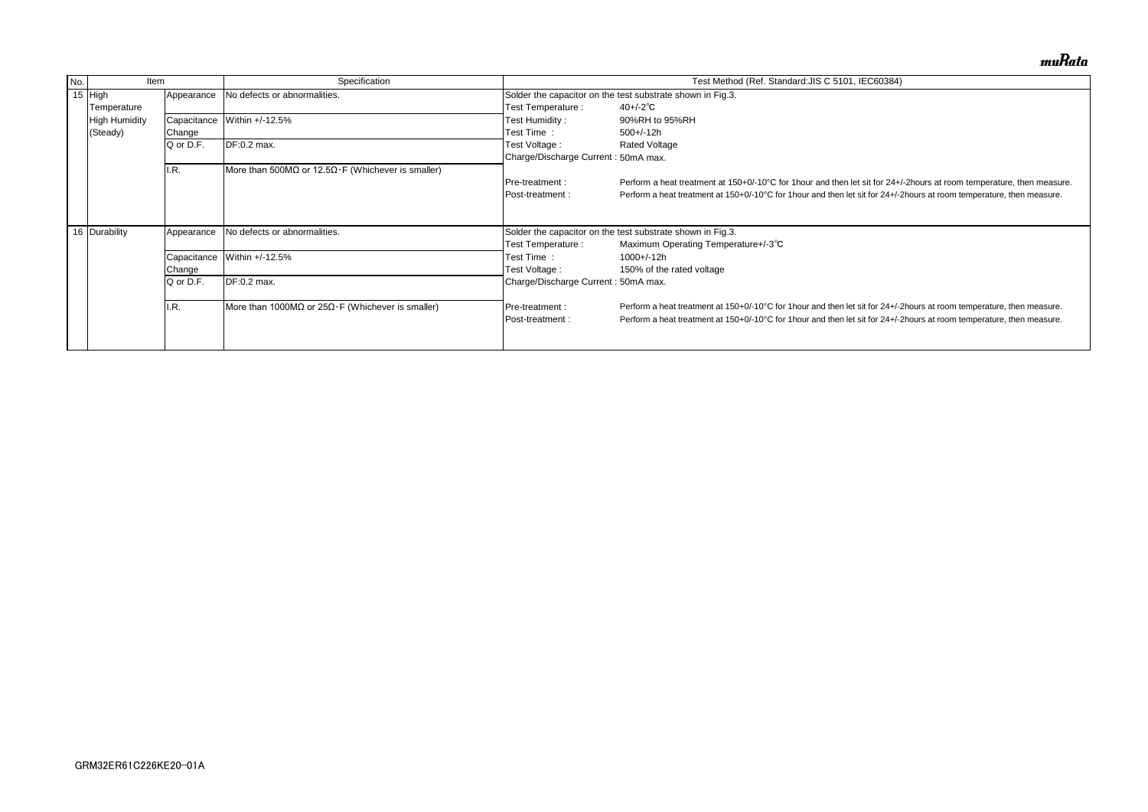| No. | Item                 |             | Specification                                             |                                     | Test Method (Ref. Standard: JIS C 5101, IEC60384)                              |
|-----|----------------------|-------------|-----------------------------------------------------------|-------------------------------------|--------------------------------------------------------------------------------|
|     | 15 High              | Appearance  | No defects or abnormalities.                              |                                     | Solder the capacitor on the test substrate shown in Fig.3.                     |
|     | Temperature          |             |                                                           | Test Temperature :                  | $40 + (-2)^\circ \text{C}$                                                     |
|     | <b>High Humidity</b> | Capacitance | Within +/-12.5%                                           | Test Humidity:                      | 90%RH to 95%RH                                                                 |
|     | (Steady)             | Change      |                                                           | Test Time :                         | $500+/-12h$                                                                    |
|     |                      | Q or D.F.   | DF:0.2 max.                                               | Test Voltage :                      | <b>Rated Voltage</b>                                                           |
|     |                      |             |                                                           | Charge/Discharge Current: 50mA max. |                                                                                |
|     |                      | I.R.        | More than 500MΩ or 12.5Ω $\cdot$ F (Whichever is smaller) |                                     |                                                                                |
|     |                      |             |                                                           | Pre-treatment :                     | Perform a heat treatment at 150+0/-10°C for 1 hour and then let sit for 24+/-  |
|     |                      |             |                                                           | Post-treatment :                    | Perform a heat treatment at 150+0/-10°C for 1 hour and then let sit for 24+/-2 |
|     |                      |             |                                                           |                                     |                                                                                |
|     |                      |             |                                                           |                                     |                                                                                |
|     | 16 Durability        | Appearance  | No defects or abnormalities.                              |                                     | Solder the capacitor on the test substrate shown in Fig.3.                     |
|     |                      |             |                                                           | Test Temperature :                  | Maximum Operating Temperature+/-3°C                                            |
|     |                      | Capacitance | Within +/-12.5%                                           | Test Time:                          | $1000 + (-12h)$                                                                |
|     |                      | Change      |                                                           | Test Voltage :                      | 150% of the rated voltage                                                      |
|     |                      | Q or D.F.   | DF:0.2 max.                                               | Charge/Discharge Current: 50mA max. |                                                                                |
|     |                      |             |                                                           |                                     |                                                                                |
|     |                      | I.R.        | More than 1000MΩ or $25Ω·F$ (Whichever is smaller)        | Pre-treatment :                     | Perform a heat treatment at 150+0/-10°C for 1 hour and then let sit for 24+/-2 |
|     |                      |             |                                                           | Post-treatment:                     | Perform a heat treatment at 150+0/-10°C for 1 hour and then let sit for 24+/-2 |
|     |                      |             |                                                           |                                     |                                                                                |
|     |                      |             |                                                           |                                     |                                                                                |

muRata

/-2hours at room temperature, then measure. Phours at room temperature, then measure.

Phours at room temperature, then measure. Phours at room temperature, then measure.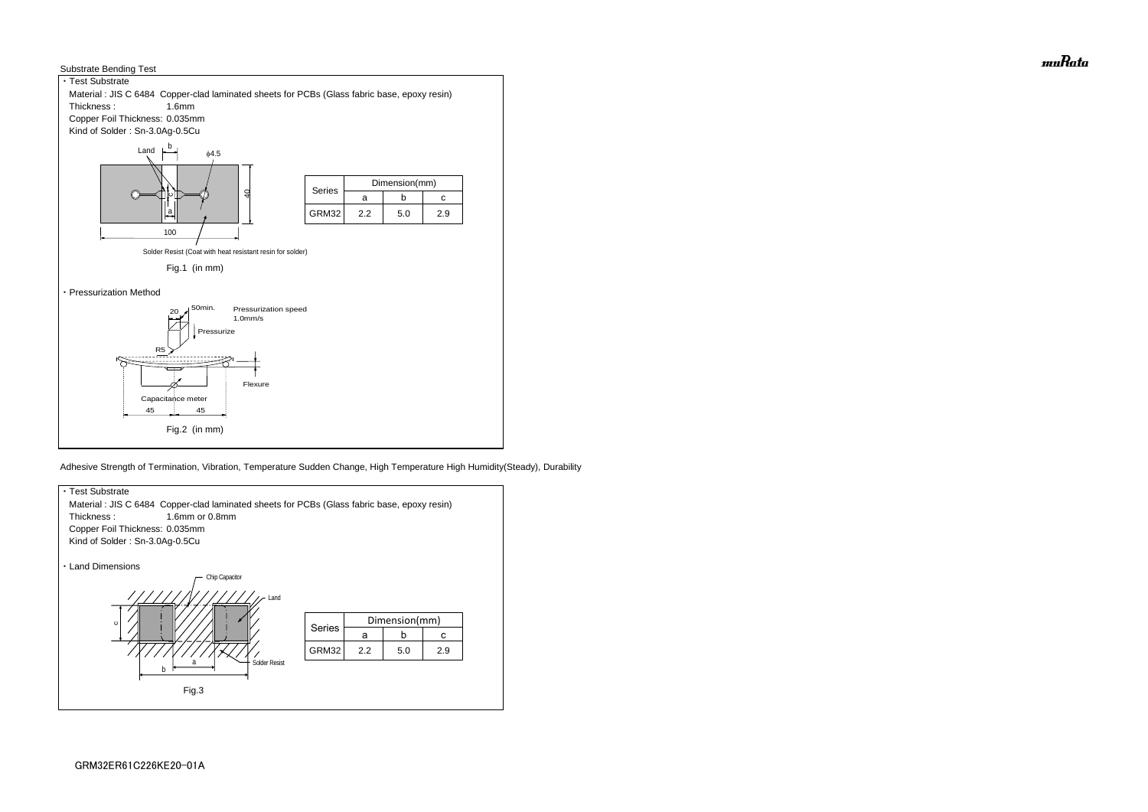



Adhesive Strength of Termination, Vibration, Temperature Sudden Change, High Temperature High Humidity(Steady), Durability



muRata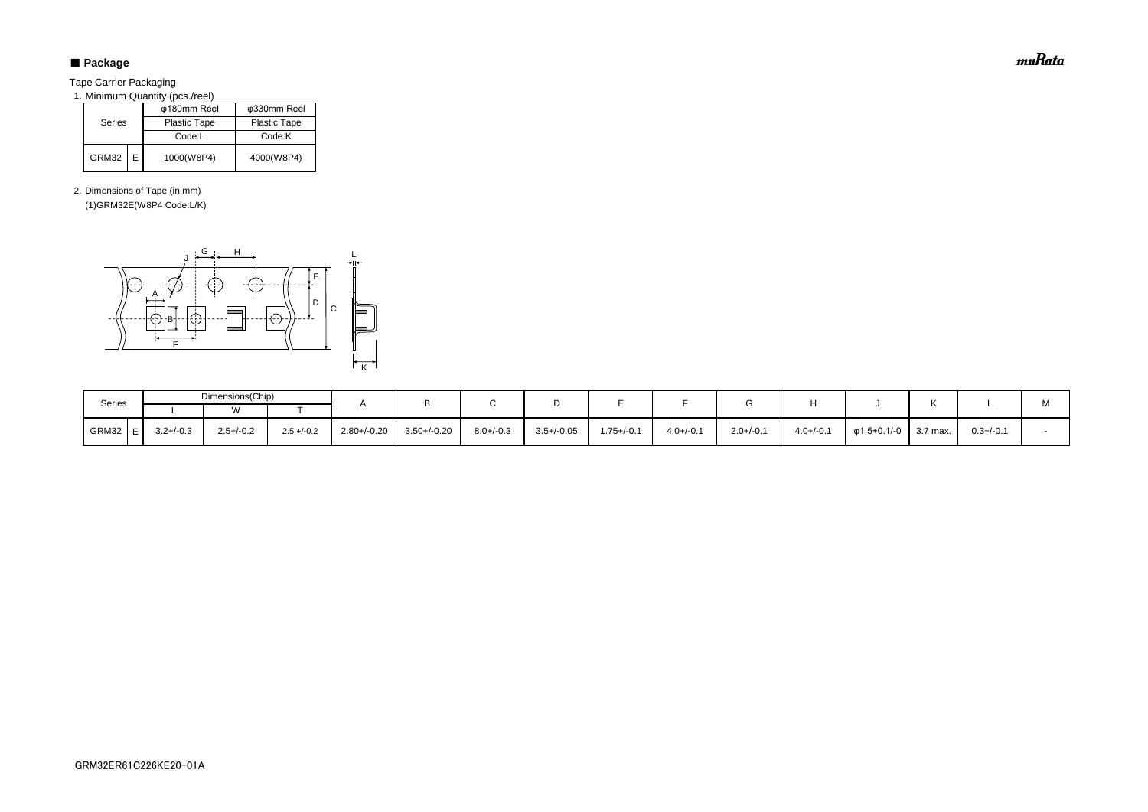# ■ Package

Tape Carrier Packaging

1. Minimum Quantity (pcs./reel)

2. Dimensions of Tape (in mm) (1)GRM32E(W8P4 Code:L/K)

|        |  | φ180mm Reel         | φ330mm Reel         |
|--------|--|---------------------|---------------------|
| Series |  | <b>Plastic Tape</b> | <b>Plastic Tape</b> |
|        |  | Code:L              | Code:K              |
| GRM32  |  | 1000(W8P4)          | 4000(W8P4)          |

| Series    |                | Dimensions(Chip)     |              |                  |                  |                |                 |               |                |                |                |             |          |                | м |
|-----------|----------------|----------------------|--------------|------------------|------------------|----------------|-----------------|---------------|----------------|----------------|----------------|-------------|----------|----------------|---|
|           |                | $\ddot{\phantom{1}}$ |              |                  |                  |                |                 |               |                |                |                |             |          |                |   |
| $GRM32$ E | $3.2 + / -0.3$ | $2.5 + (-0.2)$       | $2.5 + -0.2$ | $2.80 + / -0.20$ | $3.50 + (-0.20)$ | $8.0 + (-0.3)$ | $3.5 + / -0.05$ | $1.75 + -0.1$ | $4.0 + (-0.1)$ | $2.0 + (-0.1)$ | $4.0 + (-0.1)$ | φ1.5+0.1/-0 | 3.7 max. | $0.3 + (-0.1)$ |   |



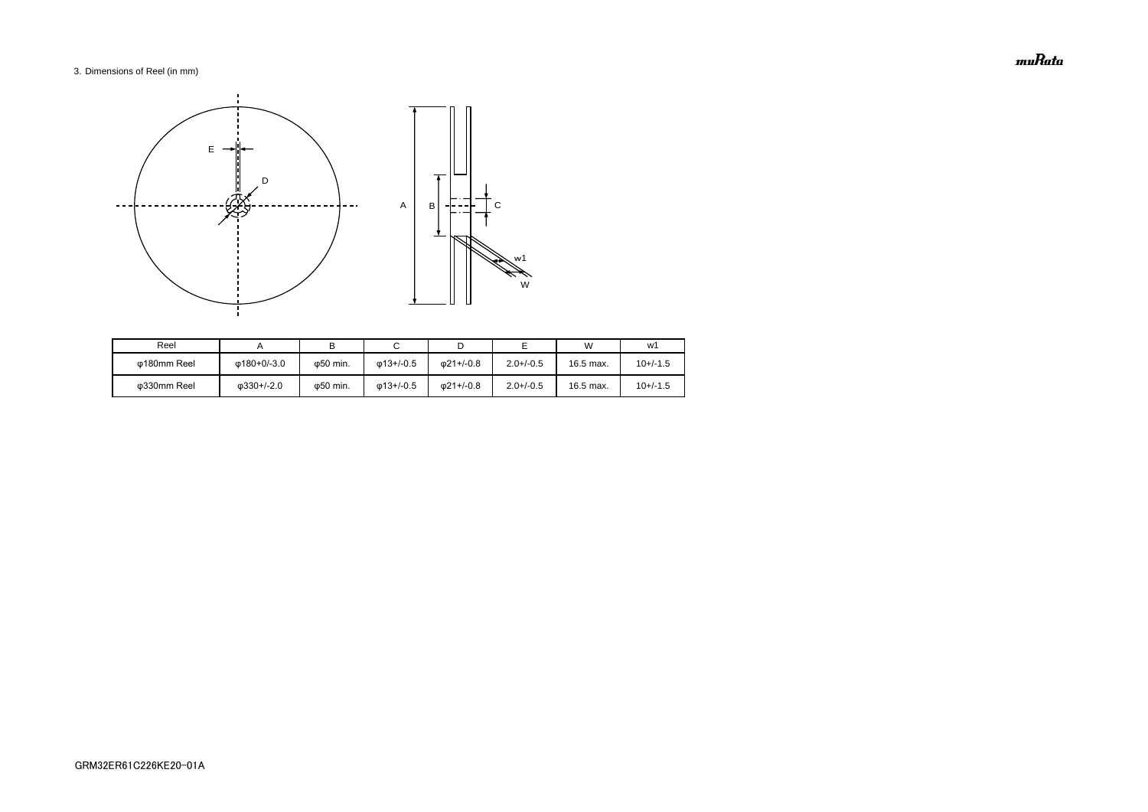# 3. Dimensions of Reel (in mm)

| Reel        |                    |                   |                   |                   |                | W         | w1         |
|-------------|--------------------|-------------------|-------------------|-------------------|----------------|-----------|------------|
| ω180mm Reel | Φ180+0/-3.0        | ω50 min.          | $\omega$ 13+/-0.5 | $\omega$ 21+/-0.8 | $2.0 + (-0.5)$ | 16.5 max. | $10+/-1.5$ |
| Φ330mm Reel | $\omega$ 330+/-2.0 | $\varphi$ 50 min. | $\omega$ 13+/-0.5 | 021+/-0.8         | $2.0 + (-0.5)$ | 16.5 max. | $10+/-1.5$ |



muRata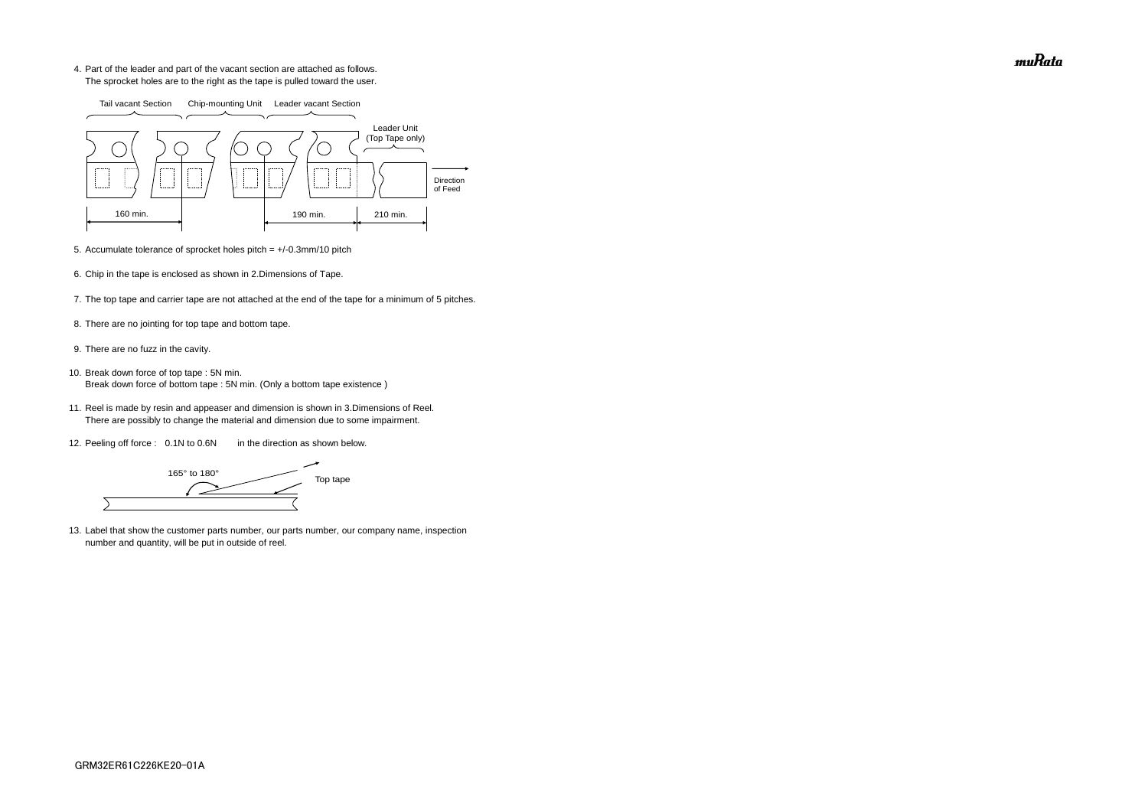4. Part of the leader and part of the vacant section are attached as follows. The sprocket holes are to the right as the tape is pulled toward the user.

- 5. Accumulate tolerance of sprocket holes pitch = +/-0.3mm/10 pitch
- 6. Chip in the tape is enclosed as shown in 2.Dimensions of Tape.
- 7. The top tape and carrier tape are not attached at the end of the tape for a minimum of 5 pitches.
- 8. There are no jointing for top tape and bottom tape.
- 9. There are no fuzz in the cavity.
- 10. Break down force of top tape : 5N min. Break down force of bottom tape : 5N min. (Only a bottom tape existence)
	- 11. Reel is made by resin and appeaser and dimension is shown in 3.Dimensions of Reel. There are possibly to change the material and dimension due to some impairment.
	- 12. Peeling off force : 0.1N to 0.6N in the direction as shown below.

165° to 180° Top tape  $\overline{\phantom{0}}$ 

13. Label that show the customer parts number, our parts number, our company name, inspection number and quantity, will be put in outside of reel.



muRata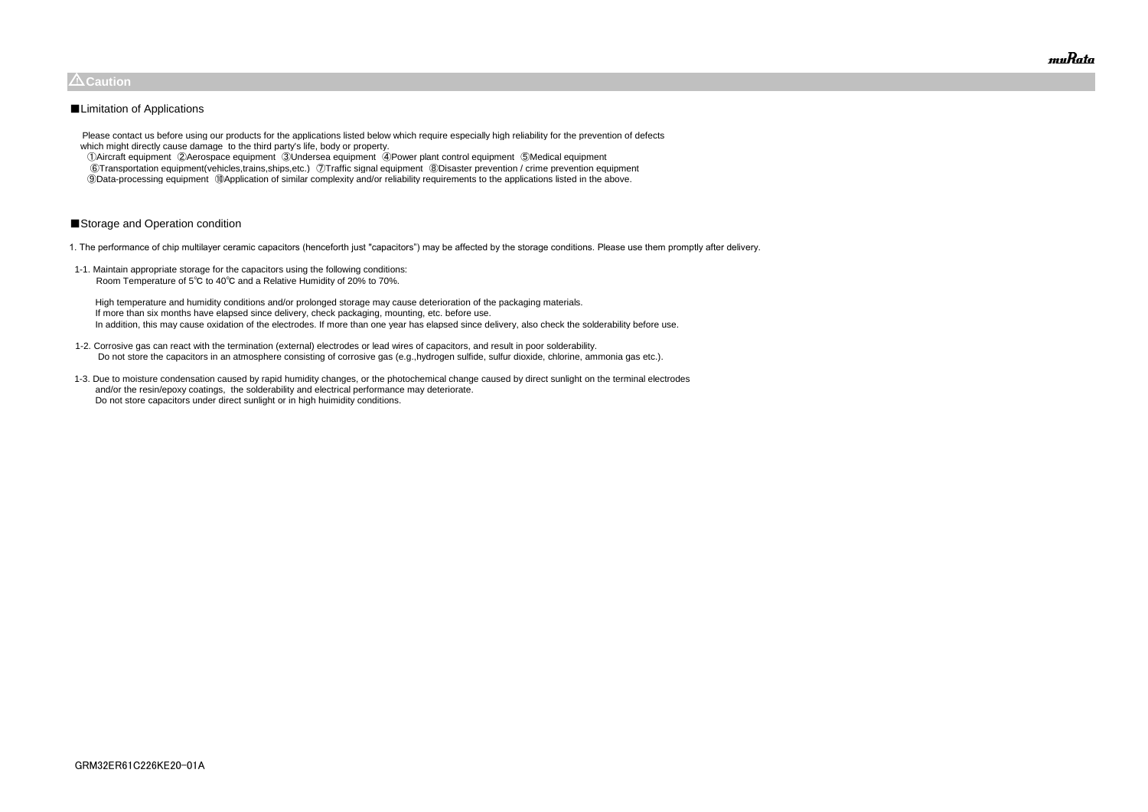Please contact us before using our products for the applications listed below which require especially high reliability for the prevention of defects which might directly cause damage to the third party's life, body or property.

 ①Aircraft equipment ②Aerospace equipment ③Undersea equipment ④Power plant control equipment ⑤Medical equipment ⑥Transportation equipment(vehicles,trains,ships,etc.) ⑦Traffic signal equipment ⑧Disaster prevention / crime prevention equipment ⑨Data-processing equipment ⑩Application of similar complexity and/or reliability requirements to the applications listed in the above.

# ■Storage and Operation condition

1. The performance of chip multilayer ceramic capacitors (henceforth just "capacitors") may be affected by the storage conditions. Please use them promptly after delivery.

1-1. Maintain appropriate storage for the capacitors using the following conditions: Room Temperature of 5℃ to 40℃ and a Relative Humidity of 20% to 70%.

 High temperature and humidity conditions and/or prolonged storage may cause deterioration of the packaging materials. If more than six months have elapsed since delivery, check packaging, mounting, etc. before use. In addition, this may cause oxidation of the electrodes. If more than one year has elapsed since delivery, also check the solderability before use.

- 1-2. Corrosive gas can react with the termination (external) electrodes or lead wires of capacitors, and result in poor solderability. Do not store the capacitors in an atmosphere consisting of corrosive gas (e.g.,hydrogen sulfide, sulfur dioxide, chlorine, ammonia gas etc.).
- 1-3. Due to moisture condensation caused by rapid humidity changes, or the photochemical change caused by direct sunlight on the terminal electrodes and/or the resin/epoxy coatings, the solderability and electrical performance may deteriorate. Do not store capacitors under direct sunlight or in high huimidity conditions.



# $\triangle$ Caution

# ■Limitation of Applications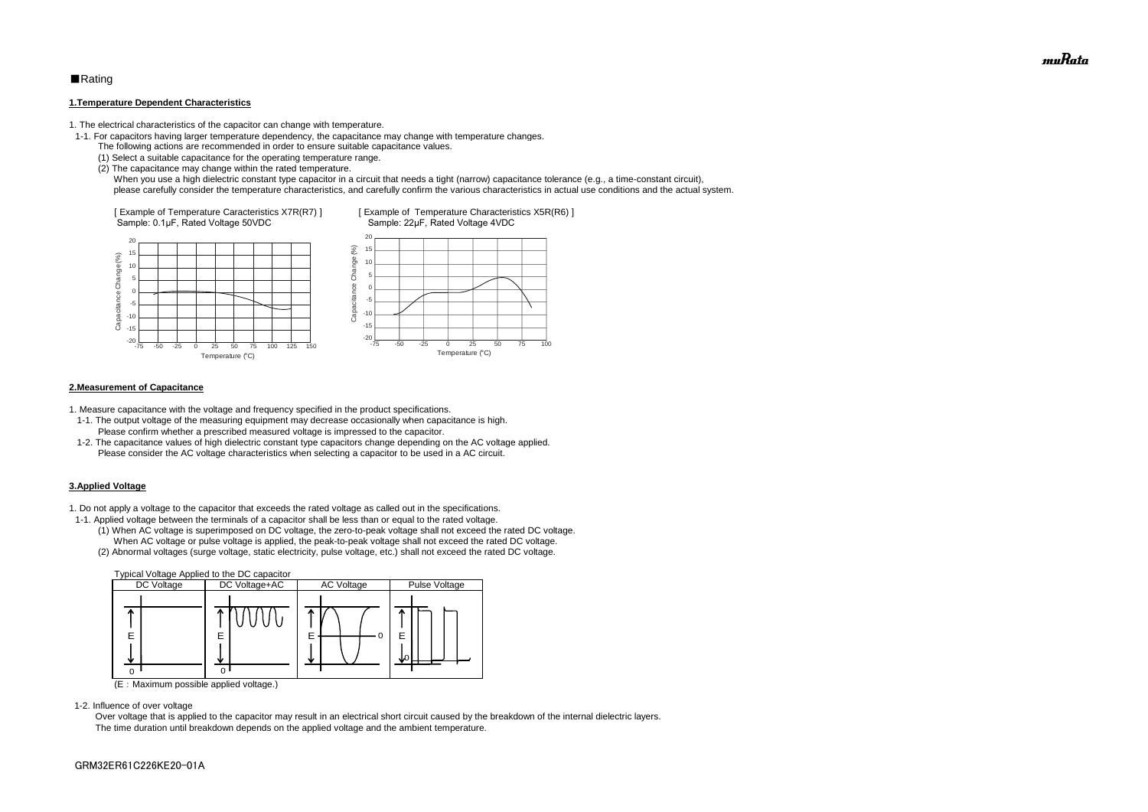# ■Rating

#### **1.Temperature Dependent Characteristics**

1. The electrical characteristics of the capacitor can change with temperature.

- 1-1. For capacitors having larger temperature dependency, the capacitance may change with temperature changes.
	- The following actions are recommended in order to ensure suitable capacitance values.
	- (1) Select a suitable capacitance for the operating temperature range.
	- (2) The capacitance may change within the rated temperature.

When you use a high dielectric constant type capacitor in a circuit that needs a tight (narrow) capacitance tolerance (e.g., a time-constant circuit), please carefully consider the temperature characteristics, and carefully confirm the various characteristics in actual use conditions and the actual system.

#### **2.Measurement of Capacitance**

1. Measure capacitance with the voltage and frequency specified in the product specifications.

- 1-1. The output voltage of the measuring equipment may decrease occasionally when capacitance is high. Please confirm whether a prescribed measured voltage is impressed to the capacitor.
- 1-2. The capacitance values of high dielectric constant type capacitors change depending on the AC voltage applied. Please consider the AC voltage characteristics when selecting a capacitor to be used in a AC circuit.

### **3.Applied Voltage**

1. Do not apply a voltage to the capacitor that exceeds the rated voltage as called out in the specifications.



- 1-1. Applied voltage between the terminals of a capacitor shall be less than or equal to the rated voltage.
	- (1) When AC voltage is superimposed on DC voltage, the zero-to-peak voltage shall not exceed the rated DC voltage. When AC voltage or pulse voltage is applied, the peak-to-peak voltage shall not exceed the rated DC voltage.
	- (2) Abnormal voltages (surge voltage, static electricity, pulse voltage, etc.) shall not exceed the rated DC voltage.



(E:Maximum possible applied voltage.)

1-2. Influence of over voltage

 Over voltage that is applied to the capacitor may result in an electrical short circuit caused by the breakdown of the internal dielectric layers. The time duration until breakdown depends on the applied voltage and the ambient temperature.

muRata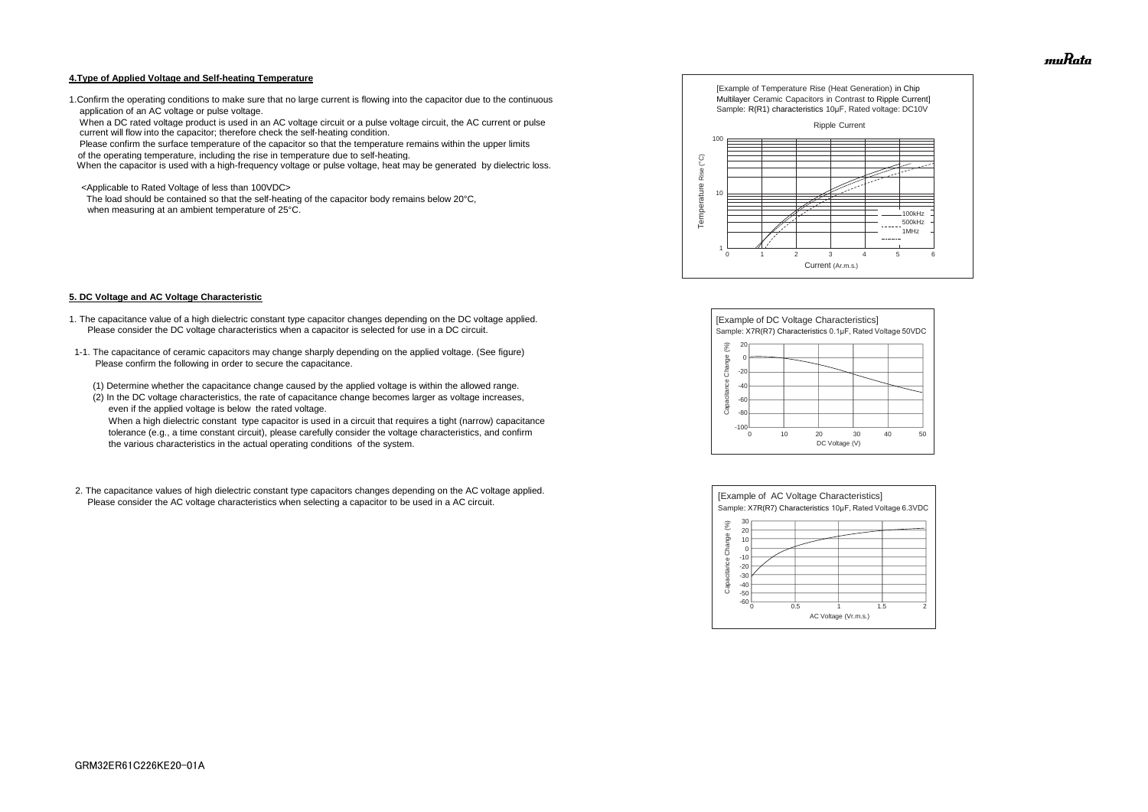#### **4.Type of Applied Voltage and Self-heating Temperature**

1.Confirm the operating conditions to make sure that no large current is flowing into the capacitor due to the continuous application of an AC voltage or pulse voltage.

 When a DC rated voltage product is used in an AC voltage circuit or a pulse voltage circuit, the AC current or pulse current will flow into the capacitor; therefore check the self-heating condition.

The load should be contained so that the self-heating of the capacitor body remains below 20°C, when measuring at an ambient temperature of 25°C.

Please confirm the surface temperature of the capacitor so that the temperature remains within the upper limits

of the operating temperature, including the rise in temperature due to self-heating.

When the capacitor is used with a high-frequency voltage or pulse voltage, heat may be generated by dielectric loss.

<Applicable to Rated Voltage of less than 100VDC>

#### **5. DC Voltage and AC Voltage Characteristic**

- 1. The capacitance value of a high dielectric constant type capacitor changes depending on the DC voltage applied. Please consider the DC voltage characteristics when a capacitor is selected for use in a DC circuit.
- 1-1. The capacitance of ceramic capacitors may change sharply depending on the applied voltage. (See figure) Please confirm the following in order to secure the capacitance.
	- (1) Determine whether the capacitance change caused by the applied voltage is within the allowed range.
	- (2) In the DC voltage characteristics, the rate of capacitance change becomes larger as voltage increases, even if the applied voltage is below the rated voltage.

 When a high dielectric constant type capacitor is used in a circuit that requires a tight (narrow) capacitance tolerance (e.g., a time constant circuit), please carefully consider the voltage characteristics, and confirm the various characteristics in the actual operating conditions of the system.

2. The capacitance values of high dielectric constant type capacitors changes depending on the AC voltage applied. Please consider the AC voltage characteristics when selecting a capacitor to be used in a AC circuit.









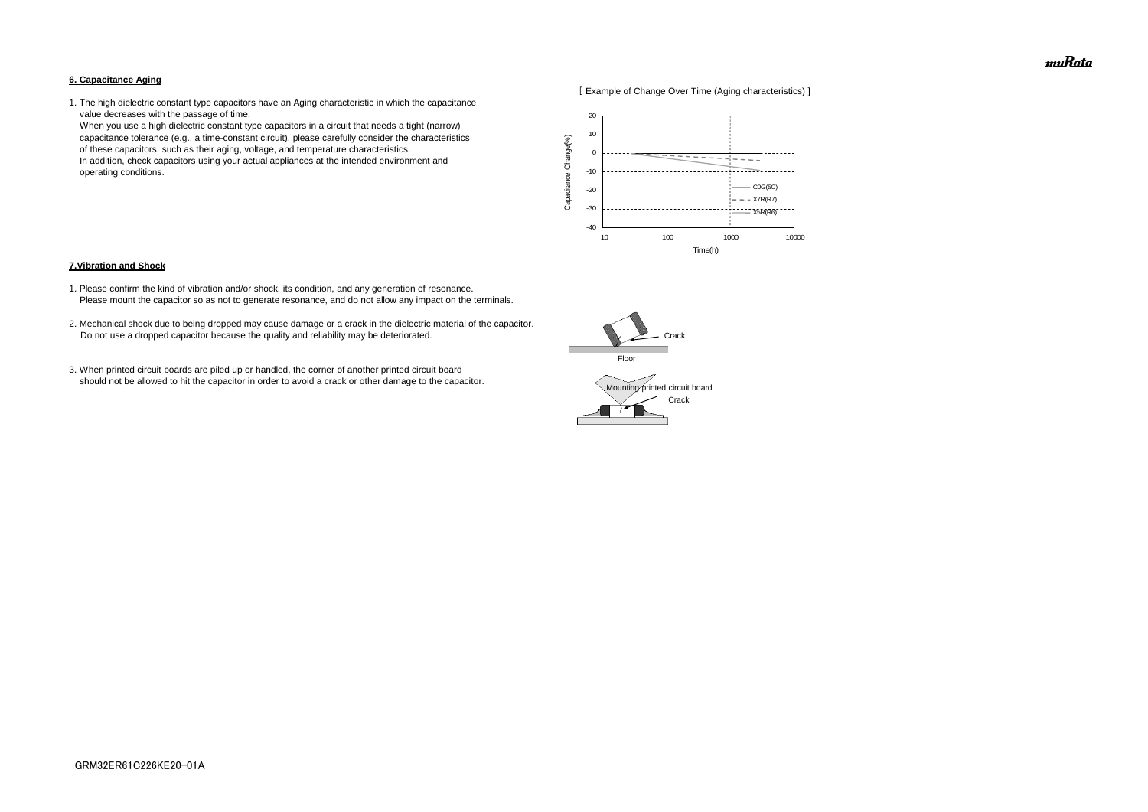### **6. Capacitance Aging**



1. The high dielectric constant type capacitors have an Aging characteristic in which the capacitance value decreases with the passage of time.

 When you use a high dielectric constant type capacitors in a circuit that needs a tight (narrow) capacitance tolerance (e.g., a time-constant circuit), please carefully consider the characteristics of these capacitors, such as their aging, voltage, and temperature characteristics. In addition, check capacitors using your actual appliances at the intended environment and operating conditions.

#### **7.Vibration and Shock**

- 1. Please confirm the kind of vibration and/or shock, its condition, and any generation of resonance. Please mount the capacitor so as not to generate resonance, and do not allow any impact on the terminals.
- 2. Mechanical shock due to being dropped may cause damage or a crack in the dielectric material of the capacitor. Do not use a dropped capacitor because the quality and reliability may be deteriorated.
- 3. When printed circuit boards are piled up or handled, the corner of another printed circuit board should not be allowed to hit the capacitor in order to avoid a crack or other damage to the capacitor.





muRata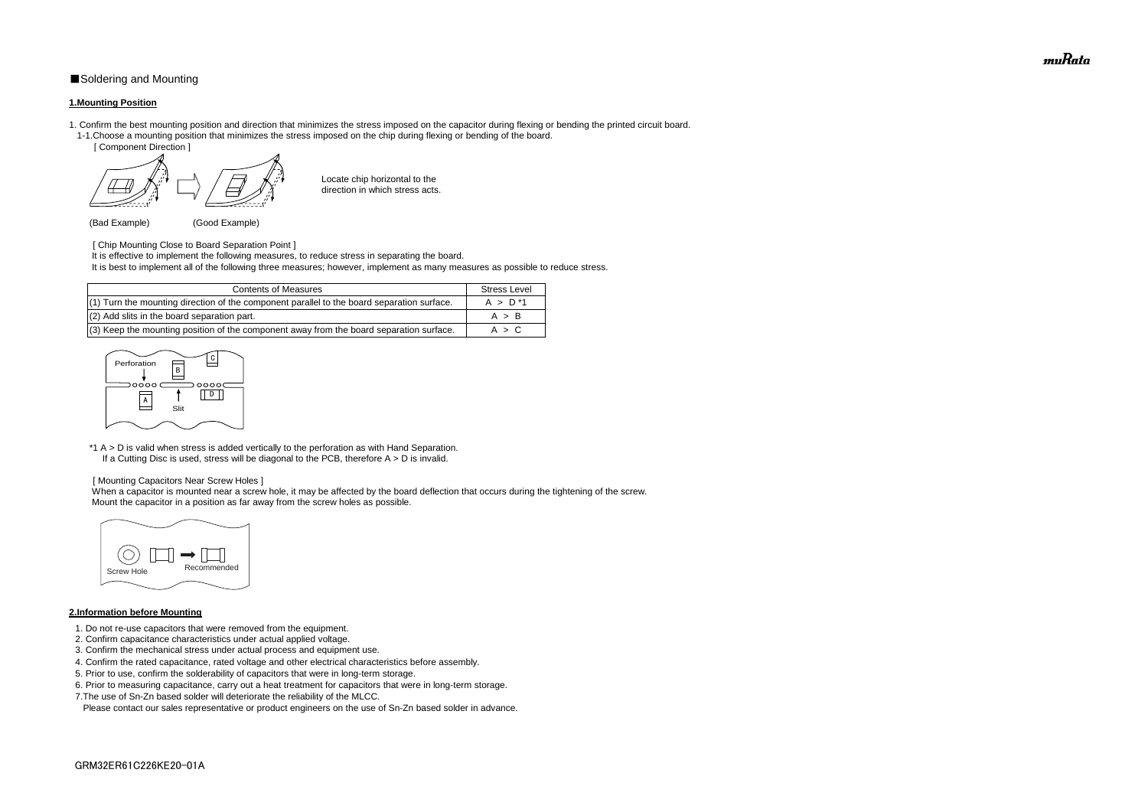# ■Soldering and Mounting

### **1.Mounting Position**

- 1. Confirm the best mounting position and direction that minimizes the stress imposed on the capacitor during flexing or bending the printed circuit board. 1-1.Choose a mounting position that minimizes the stress imposed on the chip during flexing or bending of the board.
	- [ Component Direction ]

Locate chip horizontal to the direction in which stress acts.

(Bad Example) (Good Example)

[ Chip Mounting Close to Board Separation Point ]

\*1 A > D is valid when stress is added vertically to the perforation as with Hand Separation. If a Cutting Disc is used, stress will be diagonal to the PCB, therefore  $A > D$  is invalid.

It is effective to implement the following measures, to reduce stress in separating the board.

It is best to implement all of the following three measures; however, implement as many measures as possible to reduce stress.

When a capacitor is mounted near a screw hole, it may be affected by the board deflection that occurs during the tightening of the screw. Mount the capacitor in a position as far away from the screw holes as possible.

#### [ Mounting Capacitors Near Screw Holes ]

#### **2.Information before Mounting**

| <b>Contents of Measures</b>                                                                | <b>Stress Level</b> |
|--------------------------------------------------------------------------------------------|---------------------|
| (1) Turn the mounting direction of the component parallel to the board separation surface. | $A > D^*1$          |
| (2) Add slits in the board separation part.                                                | A > B               |
| (3) Keep the mounting position of the component away from the board separation surface.    | A > C               |

- 1. Do not re-use capacitors that were removed from the equipment.
- 2. Confirm capacitance characteristics under actual applied voltage.
- 3. Confirm the mechanical stress under actual process and equipment use.
- 4. Confirm the rated capacitance, rated voltage and other electrical characteristics before assembly.
- 5. Prior to use, confirm the solderability of capacitors that were in long-term storage.
- 6. Prior to measuring capacitance, carry out a heat treatment for capacitors that were in long-term storage.
- 7.The use of Sn-Zn based solder will deteriorate the reliability of the MLCC.

Please contact our sales representative or product engineers on the use of Sn-Zn based solder in advance.





muRata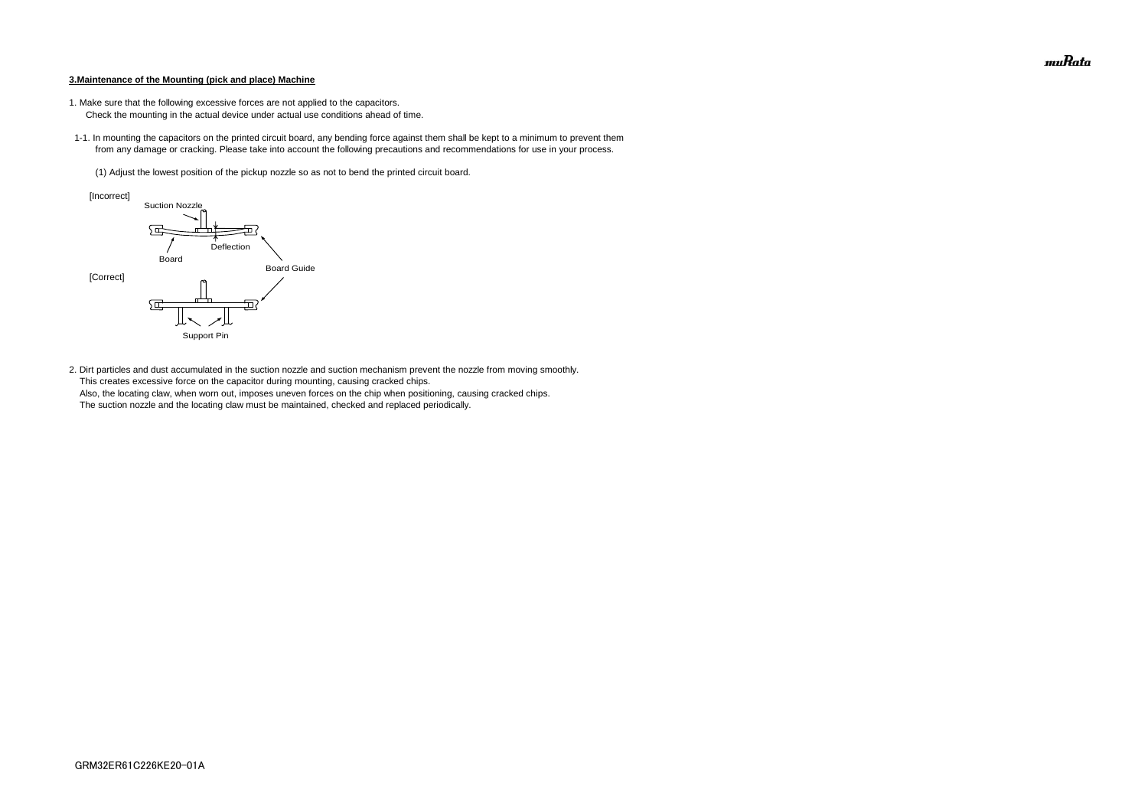#### **3.Maintenance of the Mounting (pick and place) Machine**

- 1. Make sure that the following excessive forces are not applied to the capacitors.
	- Check the mounting in the actual device under actual use conditions ahead of time.
- 1-1. In mounting the capacitors on the printed circuit board, any bending force against them shall be kept to a minimum to prevent them from any damage or cracking. Please take into account the following precautions and recommendations for use in your process.
	- (1) Adjust the lowest position of the pickup nozzle so as not to bend the printed circuit board.

2. Dirt particles and dust accumulated in the suction nozzle and suction mechanism prevent the nozzle from moving smoothly. This creates excessive force on the capacitor during mounting, causing cracked chips. Also, the locating claw, when worn out, imposes uneven forces on the chip when positioning, causing cracked chips. The suction nozzle and the locating claw must be maintained, checked and replaced periodically.



muRata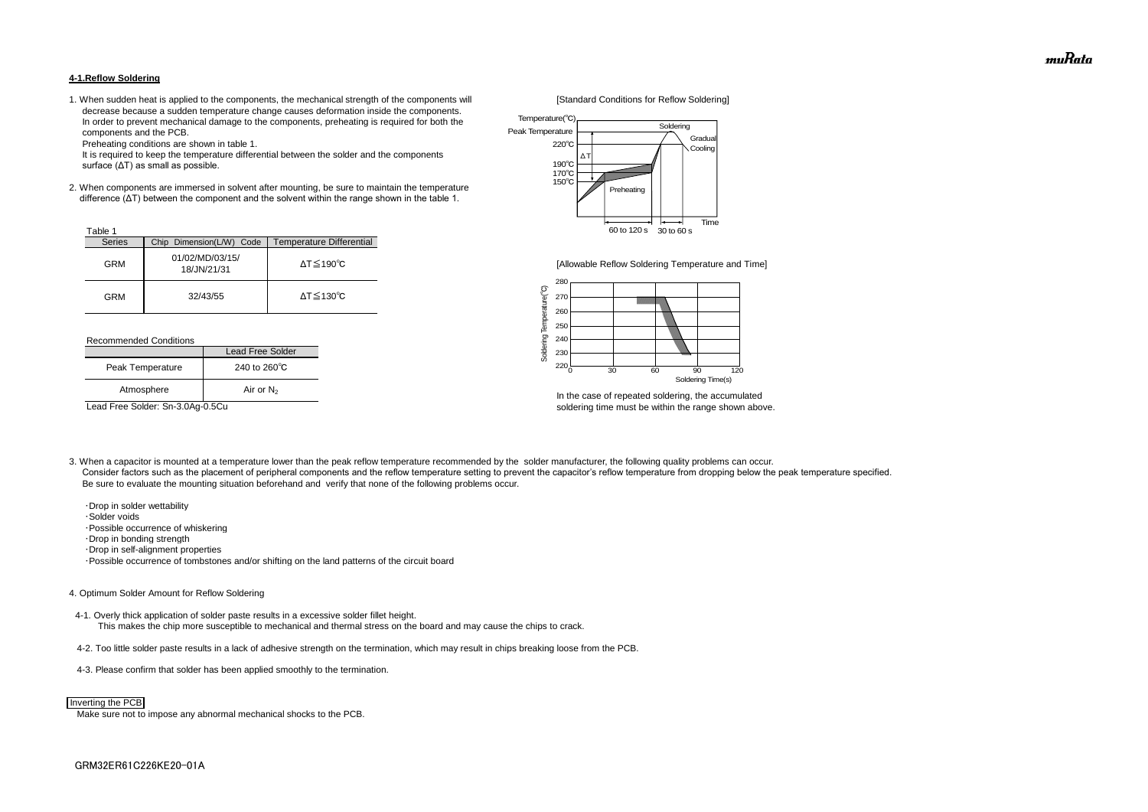#### **4-1.Reflow Soldering**

1. When sudden heat is applied to the components, the mechanical strength of the components will [Standard Conditions for Reflow Soldering] decrease because a sudden temperature change causes deformation inside the components. In order to prevent mechanical damage to the components, preheating is required for both the components and the PCB.

Preheating conditions are shown in table 1.

 It is required to keep the temperature differential between the solder and the components surface (ΔT) as small as possible.

2. When components are immersed in solvent after mounting, be sure to maintain the temperature difference (ΔT) between the component and the solvent within the range shown in the table 1.

#### Recommended Conditions

3. When a capacitor is mounted at a temperature lower than the peak reflow temperature recommended by the solder manufacturer, the following quality problems can occur. Consider factors such as the placement of peripheral components and the reflow temperature setting to prevent the capacitor's reflow temperature from dropping below the peak temperature specified. Be sure to evaluate the mounting situation beforehand and verify that none of the following problems occur.



In the case of repeated soldering, the accumulated Lead Free Solder: Sn-3.0Ag-0.5Cu soldering time must be within the range shown above.

 ・Drop in solder wettability ・Solder voids ・Possible occurrence of whiskering ・Drop in bonding strength ・Drop in self-alignment properties ・Possible occurrence of tombstones and/or shifting on the land patterns of the circuit board

| Table 1       |                                |                              |
|---------------|--------------------------------|------------------------------|
| <b>Series</b> | Chip Dimension(L/W) Code       | Temperature Differential     |
| <b>GRM</b>    | 01/02/MD/03/15/<br>18/JN/21/31 | $\Delta T \leq 190^{\circ}C$ |
| GRM           | 32/43/55                       | $\Delta T \leq 130^{\circ}C$ |

#### 4. Optimum Solder Amount for Reflow Soldering

4-1. Overly thick application of solder paste results in a excessive solder fillet height. This makes the chip more susceptible to mechanical and thermal stress on the board and may cause the chips to crack.

- 4-2. Too little solder paste results in a lack of adhesive strength on the termination, which may result in chips breaking loose from the PCB.
- 4-3. Please confirm that solder has been applied smoothly to the termination.

Make sure not to impose any abnormal mechanical shocks to the PCB.

|                  | Lead Free Solder       |
|------------------|------------------------|
| Peak Temperature | 240 to $260^{\circ}$ C |
| Atmosphere       | Air or $N_2$           |



#### Inverting the PCB



[Allowable Reflow Soldering Temperature and Time]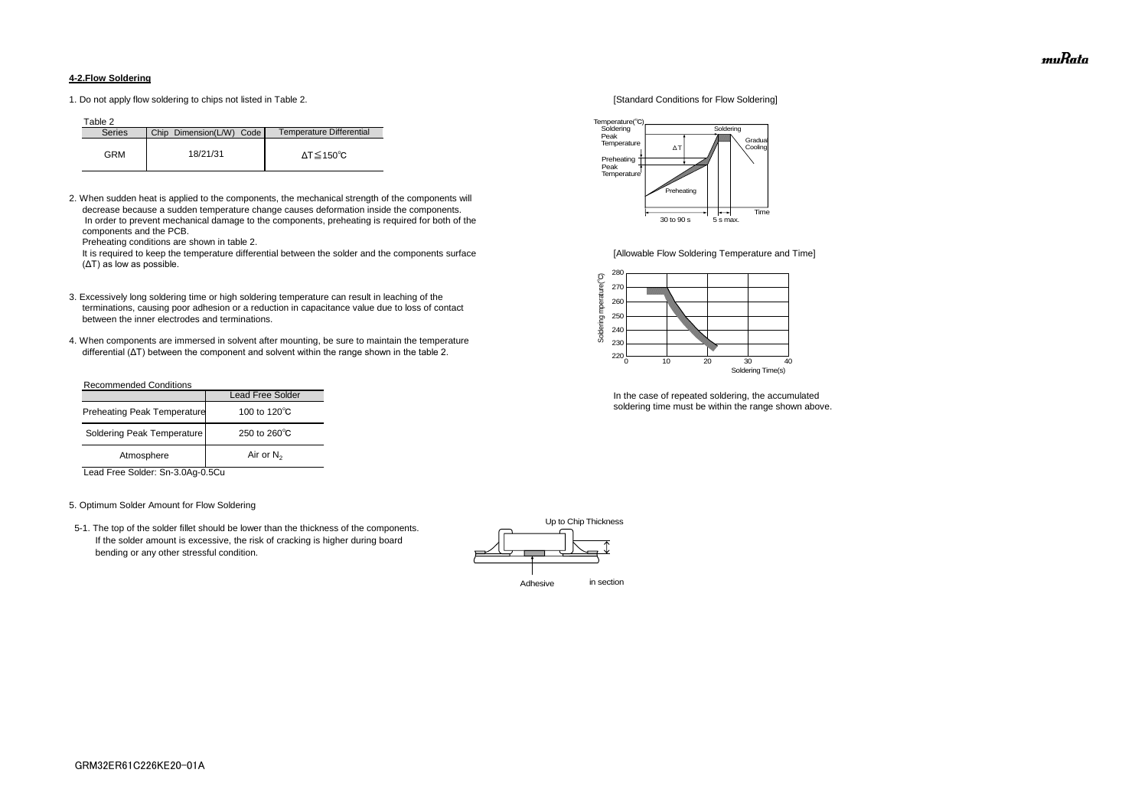### **4-2.Flow Soldering**

1. Do not apply flow soldering to chips not listed in Table 2. [Standard Conditions for Flow Soldering]

Table 2

2. When sudden heat is applied to the components, the mechanical strength of the components will decrease because a sudden temperature change causes deformation inside the components. In order to prevent mechanical damage to the components, preheating is required for both of the components and the PCB.

It is required to keep the temperature differential between the solder and the components surface [Allowable Flow Soldering Temperature and Time] (ΔT) as low as possible.

Preheating conditions are shown in table 2.

- 3. Excessively long soldering time or high soldering temperature can result in leaching of the terminations, causing poor adhesion or a reduction in capacitance value due to loss of contact between the inner electrodes and terminations.
- 4. When components are immersed in solvent after mounting, be sure to maintain the temperature differential (ΔT) between the component and solvent within the range shown in the table 2.

| <b>Series</b> | Chip Dimension(L/W) Code | Temperature Differential |
|---------------|--------------------------|--------------------------|
| GRM           | 18/21/31                 | ΔT≦150℃                  |

#### Recommended Conditions

Lead Free Solder: Sn-3.0Ag-0.5Cu

#### 5. Optimum Solder Amount for Flow Soldering

 5-1. The top of the solder fillet should be lower than the thickness of the components. If the solder amount is excessive, the risk of cracking is higher during board bending or any other stressful condition.



In the case of repeated soldering, the accumulated soldering time must be within the range shown above.

|                                    | <b>Lead Free Solder</b> |
|------------------------------------|-------------------------|
| <b>Preheating Peak Temperature</b> | 100 to 120 $\degree$ C  |
| Soldering Peak Temperature         | 250 to $260^{\circ}$ C  |
| Atmosphere                         | Air or $N_2$            |





muRata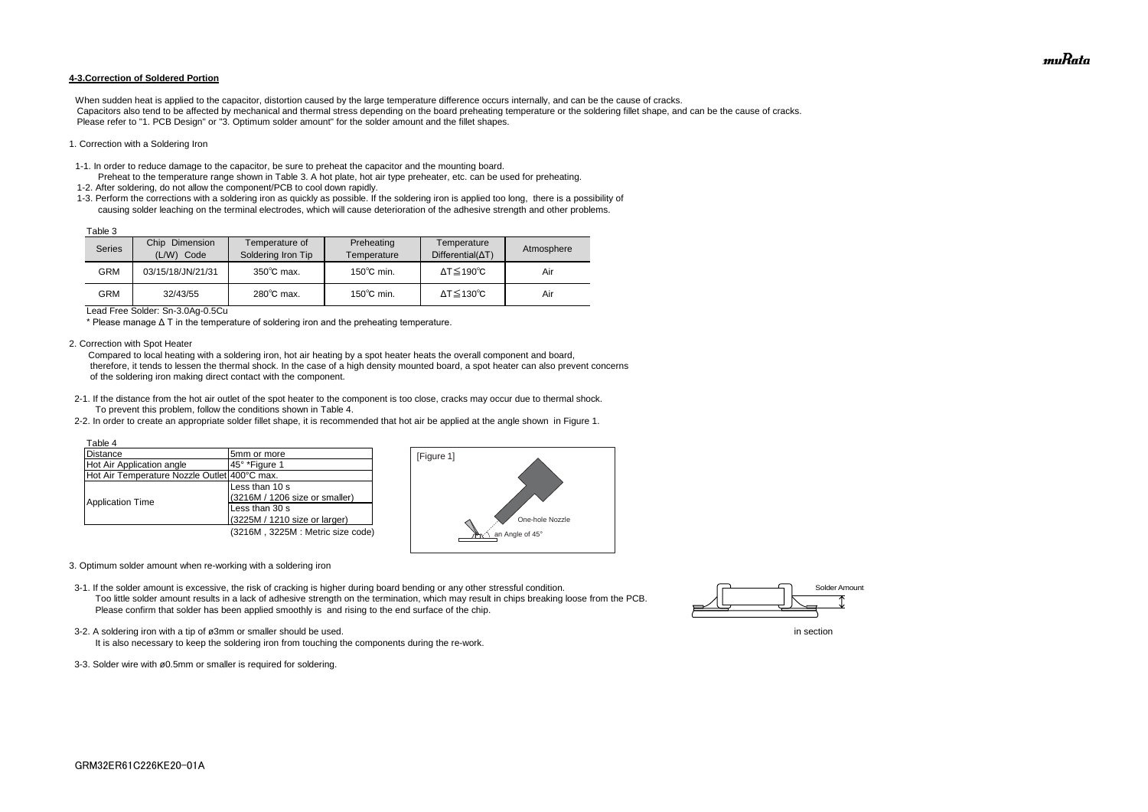#### **4-3.Correction of Soldered Portion**

When sudden heat is applied to the capacitor, distortion caused by the large temperature difference occurs internally, and can be the cause of cracks. Capacitors also tend to be affected by mechanical and thermal stress depending on the board preheating temperature or the soldering fillet shape, and can be the cause of cracks. Please refer to "1. PCB Design" or "3. Optimum solder amount" for the solder amount and the fillet shapes.

#### 1. Correction with a Soldering Iron

- 1-1. In order to reduce damage to the capacitor, be sure to preheat the capacitor and the mounting board.
- Preheat to the temperature range shown in Table 3. A hot plate, hot air type preheater, etc. can be used for preheating. 1-2. After soldering, do not allow the component/PCB to cool down rapidly.
- 1-3. Perform the corrections with a soldering iron as quickly as possible. If the soldering iron is applied too long, there is a possibility of causing solder leaching on the terminal electrodes, which will cause deterioration of the adhesive strength and other problems.

Lead Free Solder: Sn-3.0Ag-0.5Cu

\* Please manage Δ T in the temperature of soldering iron and the preheating temperature.

2. Correction with Spot Heater

 Compared to local heating with a soldering iron, hot air heating by a spot heater heats the overall component and board, therefore, it tends to lessen the thermal shock. In the case of a high density mounted board, a spot heater can also prevent concerns of the soldering iron making direct contact with the component.

- 3-2. A soldering iron with a tip of ø3mm or smaller should be used. In section
	- It is also necessary to keep the soldering iron from touching the components during the re-work.
- 3-3. Solder wire with ø0.5mm or smaller is required for soldering.



- 2-1. If the distance from the hot air outlet of the spot heater to the component is too close, cracks may occur due to thermal shock. To prevent this problem, follow the conditions shown in Table 4.
- 2-2. In order to create an appropriate solder fillet shape, it is recommended that hot air be applied at the angle shown in Figure 1.

| Table 3 |                                    |                                      |                           |                                         |            |
|---------|------------------------------------|--------------------------------------|---------------------------|-----------------------------------------|------------|
| Series  | Chip<br>Dimension<br>(L/W)<br>Code | Temperature of<br>Soldering Iron Tip | Preheating<br>Temperature | Temperature<br>$Differential(\Delta T)$ | Atmosphere |
| GRM     | 03/15/18/JN/21/31                  | $350^{\circ}$ C max.                 | $150^{\circ}$ C min.      | $\Delta T \leq 190^{\circ}C$            | Air        |
| GRM     | 32/43/55                           | $280^{\circ}$ C max.                 | $150^{\circ}$ C min.      | $\Delta T \leq 130^{\circ}C$            | Air        |

- 3. Optimum solder amount when re-working with a soldering iron
- 3-1. If the solder amount is excessive, the risk of cracking is higher during board bending or any other stressful condition. Too little solder amount results in a lack of adhesive strength on the termination, which may result in chips breaking loose from the PCB. Please confirm that solder has been applied smoothly is and rising to the end surface of the chip.

| Table 4                                      |                                  |
|----------------------------------------------|----------------------------------|
| Distance                                     | 5mm or more                      |
| Hot Air Application angle                    | 45° *Figure 1                    |
| Hot Air Temperature Nozzle Outlet 400°C max. |                                  |
| <b>Application Time</b>                      | Less than 10 s                   |
|                                              | (3216M / 1206 size or smaller)   |
|                                              | Less than 30 s                   |
|                                              | (3225M / 1210 size or larger)    |
|                                              | (3216M, 3225M: Metric size code) |





muRata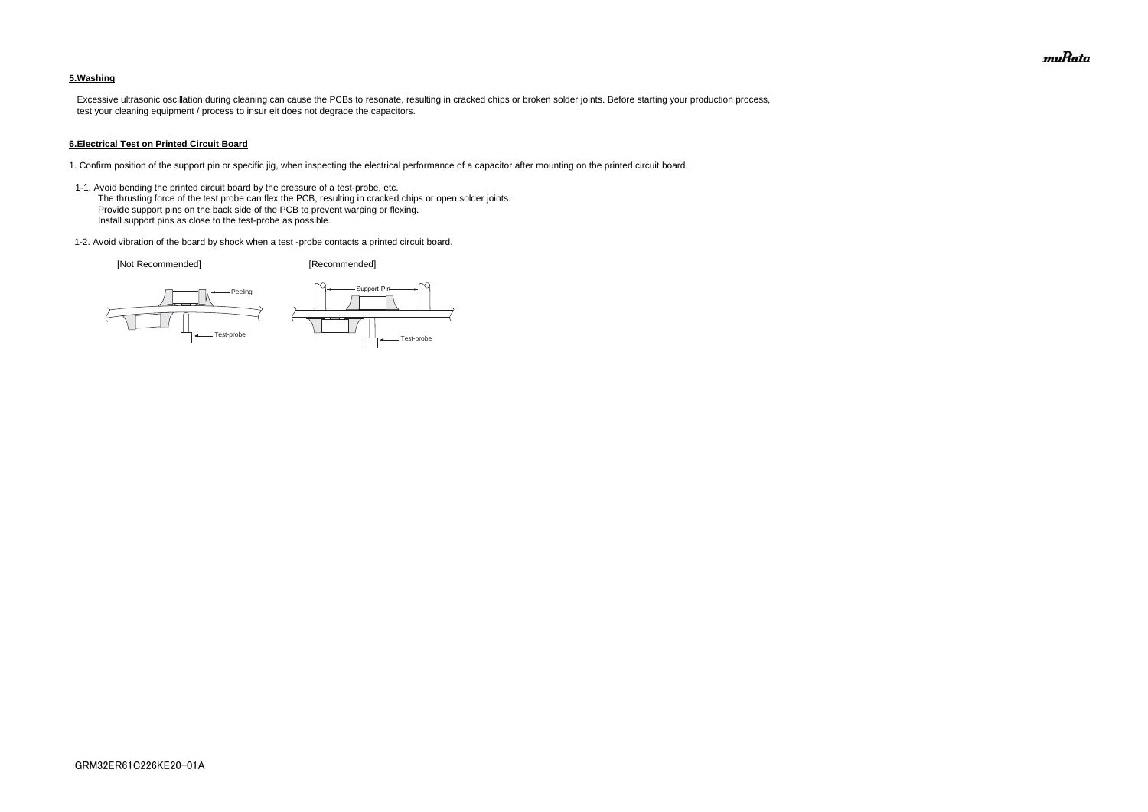# **5.Washing**

 Excessive ultrasonic oscillation during cleaning can cause the PCBs to resonate, resulting in cracked chips or broken solder joints. Before starting your production process, test your cleaning equipment / process to insur eit does not degrade the capacitors.

#### **6.Electrical Test on Printed Circuit Board**

- 1. Confirm position of the support pin or specific jig, when inspecting the electrical performance of a capacitor after mounting on the printed circuit board.
- 1-1. Avoid bending the printed circuit board by the pressure of a test-probe, etc. The thrusting force of the test probe can flex the PCB, resulting in cracked chips or open solder joints. Provide support pins on the back side of the PCB to prevent warping or flexing. Install support pins as close to the test-probe as possible.
- 1-2. Avoid vibration of the board by shock when a test -probe contacts a printed circuit board.

[Not Recommended] [Recommended]





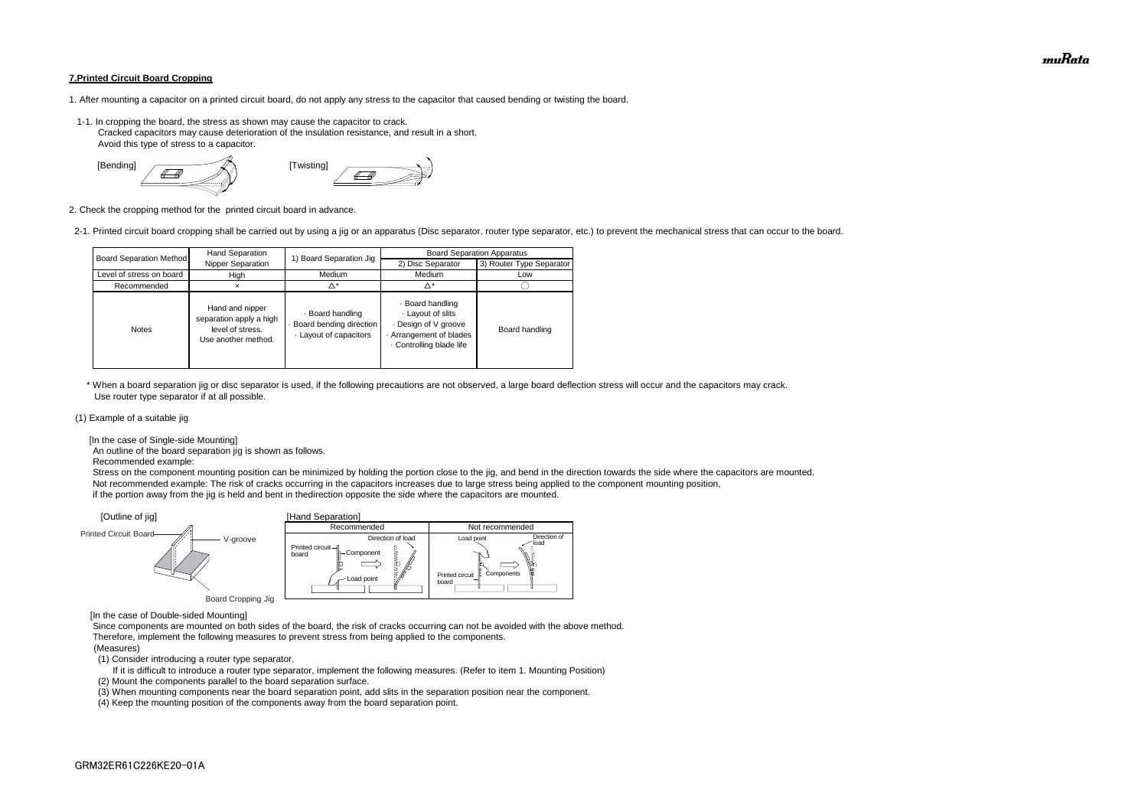#### **7.Printed Circuit Board Cropping**

- 1. After mounting a capacitor on a printed circuit board, do not apply any stress to the capacitor that caused bending or twisting the board.
- 1-1. In cropping the board, the stress as shown may cause the capacitor to crack. Cracked capacitors may cause deterioration of the insulation resistance, and result in a short. Avoid this type of stress to a capacitor.



2. Check the cropping method for the printed circuit board in advance.

2-1. Printed circuit board cropping shall be carried out by using a jig or an apparatus (Disc separator, router type separator, etc.) to prevent the mechanical stress that can occur to the board.

 \* When a board separation jig or disc separator is used, if the following precautions are not observed, a large board deflection stress will occur and the capacitors may crack. Use router type separator if at all possible.

#### (1) Example of a suitable jig

[In the case of Single-side Mounting]

An outline of the board separation jig is shown as follows.

Recommended example:

 Stress on the component mounting position can be minimized by holding the portion close to the jig, and bend in the direction towards the side where the capacitors are mounted. Not recommended example: The risk of cracks occurring in the capacitors increases due to large stress being applied to the component mounting position, if the portion away from the jig is held and bent in thedirection opposite the side where the capacitors are mounted.

[In the case of Double-sided Mounting]

 Since components are mounted on both sides of the board, the risk of cracks occurring can not be avoided with the above method. Therefore, implement the following measures to prevent stress from being applied to the components.

#### (Measures)

(1) Consider introducing a router type separator.

If it is difficult to introduce a router type separator, implement the following measures. (Refer to item 1. Mounting Position)

(2) Mount the components parallel to the board separation surface.

(3) When mounting components near the board separation point, add slits in the separation position near the component.



(4) Keep the mounting position of the components away from the board separation point.

| <b>Board Separation Method</b> | Hand Separation                                                                       | 1) Board Separation Jig                                             | <b>Board Separation Apparatus</b>                                                                              |                          |  |
|--------------------------------|---------------------------------------------------------------------------------------|---------------------------------------------------------------------|----------------------------------------------------------------------------------------------------------------|--------------------------|--|
|                                | Nipper Separation                                                                     |                                                                     | 2) Disc Separator                                                                                              | 3) Router Type Separator |  |
| Level of stress on board       | High                                                                                  | Medium                                                              | Medium                                                                                                         | Low                      |  |
| Recommended                    |                                                                                       | Δ*                                                                  | Δ*                                                                                                             |                          |  |
| <b>Notes</b>                   | Hand and nipper<br>separation apply a high<br>level of stress.<br>Use another method. | · Board handling<br>Board bending direction<br>Layout of capacitors | · Board handling<br>Layout of slits<br>Design of V groove<br>Arrangement of blades<br>. Controlling blade life | Board handling           |  |

muRata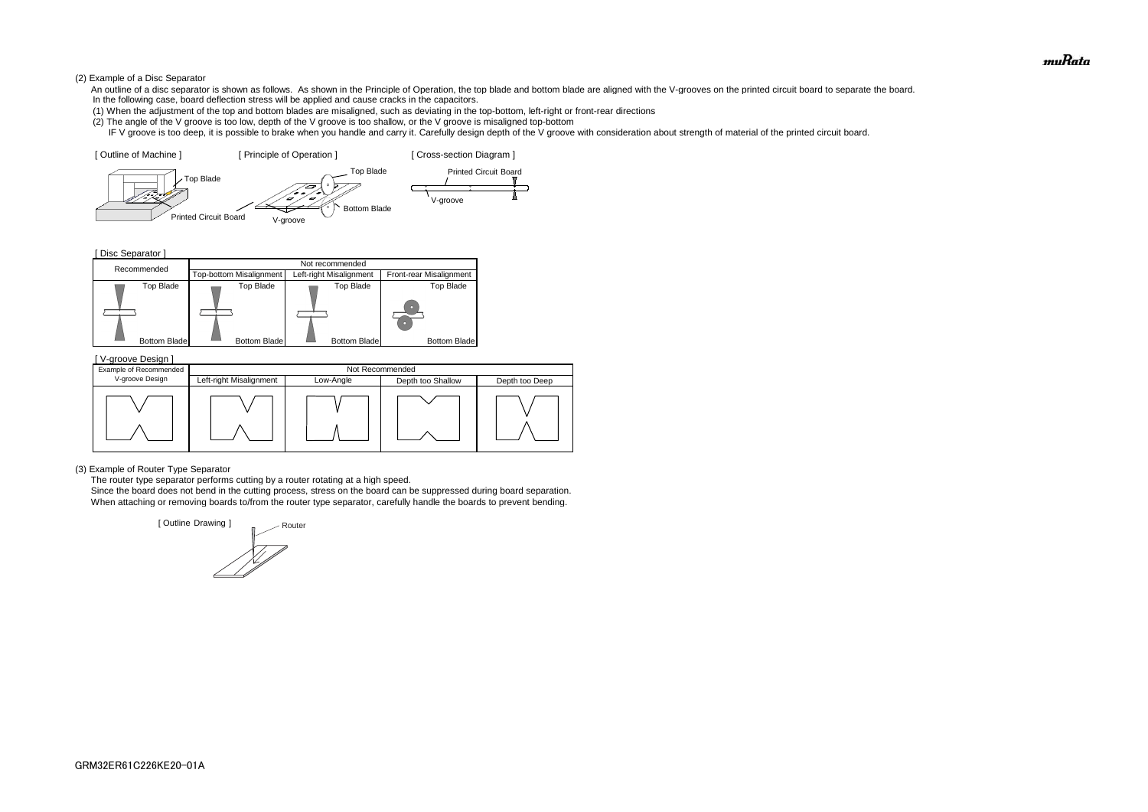#### (2) Example of a Disc Separator

- An outline of a disc separator is shown as follows. As shown in the Principle of Operation, the top blade and bottom blade are aligned with the V-grooves on the printed circuit board to separate the board. In the following case, board deflection stress will be applied and cause cracks in the capacitors.
- (1) When the adjustment of the top and bottom blades are misaligned, such as deviating in the top-bottom, left-right or front-rear directions
- (2) The angle of the V groove is too low, depth of the V groove is too shallow, or the V groove is misaligned top-bottom
- IF V groove is too deep, it is possible to brake when you handle and carry it. Carefully design depth of the V groove with consideration about strength of material of the printed circuit board.

[ Disc Separator ]

(3) Example of Router Type Separator

The router type separator performs cutting by a router rotating at a high speed.





 Since the board does not bend in the cutting process, stress on the board can be suppressed during board separation. When attaching or removing boards to/from the router type separator, carefully handle the boards to prevent bending.

| V-groove Design ]<br>Example of Recommended | Not Recommended         |                                                  |  |  |  |  |  |
|---------------------------------------------|-------------------------|--------------------------------------------------|--|--|--|--|--|
| V-groove Design                             | Left-right Misalignment | Low-Angle<br>Depth too Shallow<br>Depth too Deep |  |  |  |  |  |
|                                             |                         |                                                  |  |  |  |  |  |

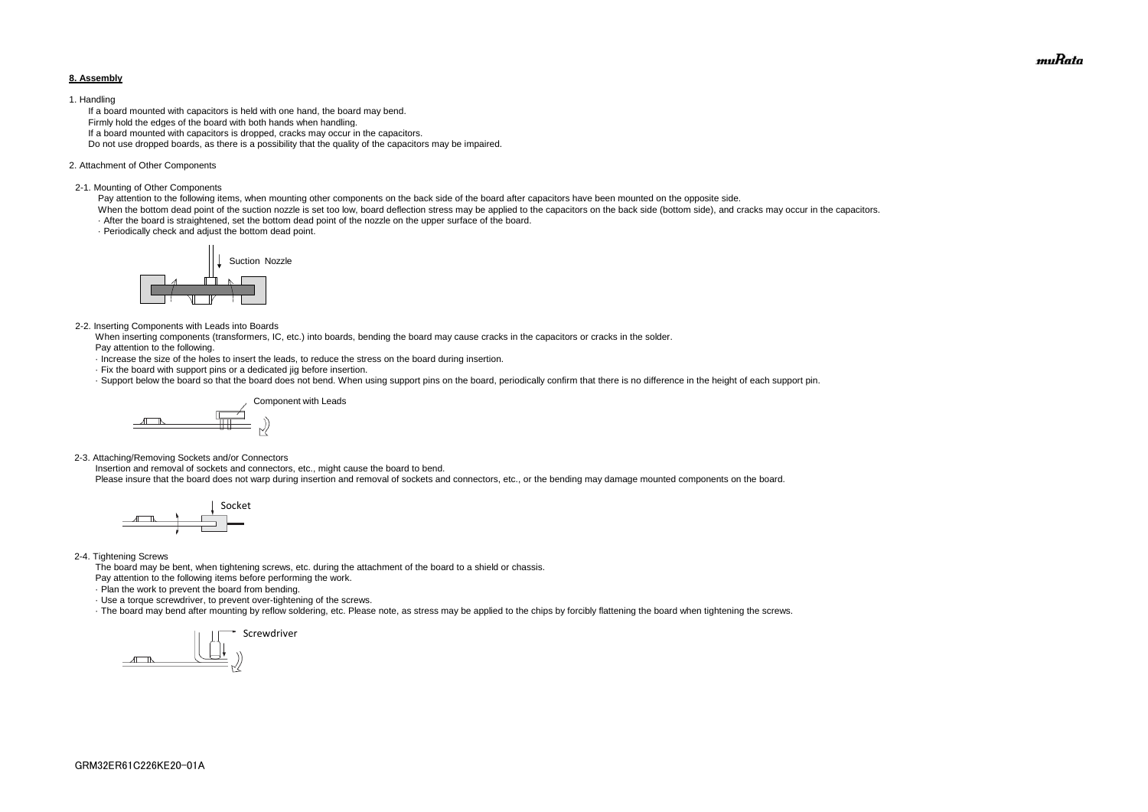#### **8. Assembly**

#### 1. Handling

 If a board mounted with capacitors is held with one hand, the board may bend. Firmly hold the edges of the board with both hands when handling. If a board mounted with capacitors is dropped, cracks may occur in the capacitors. Do not use dropped boards, as there is a possibility that the quality of the capacitors may be impaired.

#### 2. Attachment of Other Components

#### 2-1. Mounting of Other Components

Pay attention to the following items, when mounting other components on the back side of the board after capacitors have been mounted on the opposite side.

When the bottom dead point of the suction nozzle is set too low, board deflection stress may be applied to the capacitors on the back side (bottom side), and cracks may occur in the capacitors. · After the board is straightened, set the bottom dead point of the nozzle on the upper surface of the board.

· Periodically check and adjust the bottom dead point.

#### 2-2. Inserting Components with Leads into Boards

 When inserting components (transformers, IC, etc.) into boards, bending the board may cause cracks in the capacitors or cracks in the solder. Pay attention to the following.

- · Increase the size of the holes to insert the leads, to reduce the stress on the board during insertion.
- · Fix the board with support pins or a dedicated jig before insertion.
- · Support below the board so that the board does not bend. When using support pins on the board, periodically confirm that there is no difference in the height of each support pin.

2-3. Attaching/Removing Sockets and/or Connectors

Insertion and removal of sockets and connectors, etc., might cause the board to bend.

Please insure that the board does not warp during insertion and removal of sockets and connectors, etc., or the bending may damage mounted components on the board.

#### 2-4. Tightening Screws

The board may be bent, when tightening screws, etc. during the attachment of the board to a shield or chassis.

Pay attention to the following items before performing the work.

· Plan the work to prevent the board from bending.

· Use a torque screwdriver, to prevent over-tightening of the screws.

· The board may bend after mounting by reflow soldering, etc. Please note, as stress may be applied to the chips by forcibly flattening the board when tightening the screws.









muRata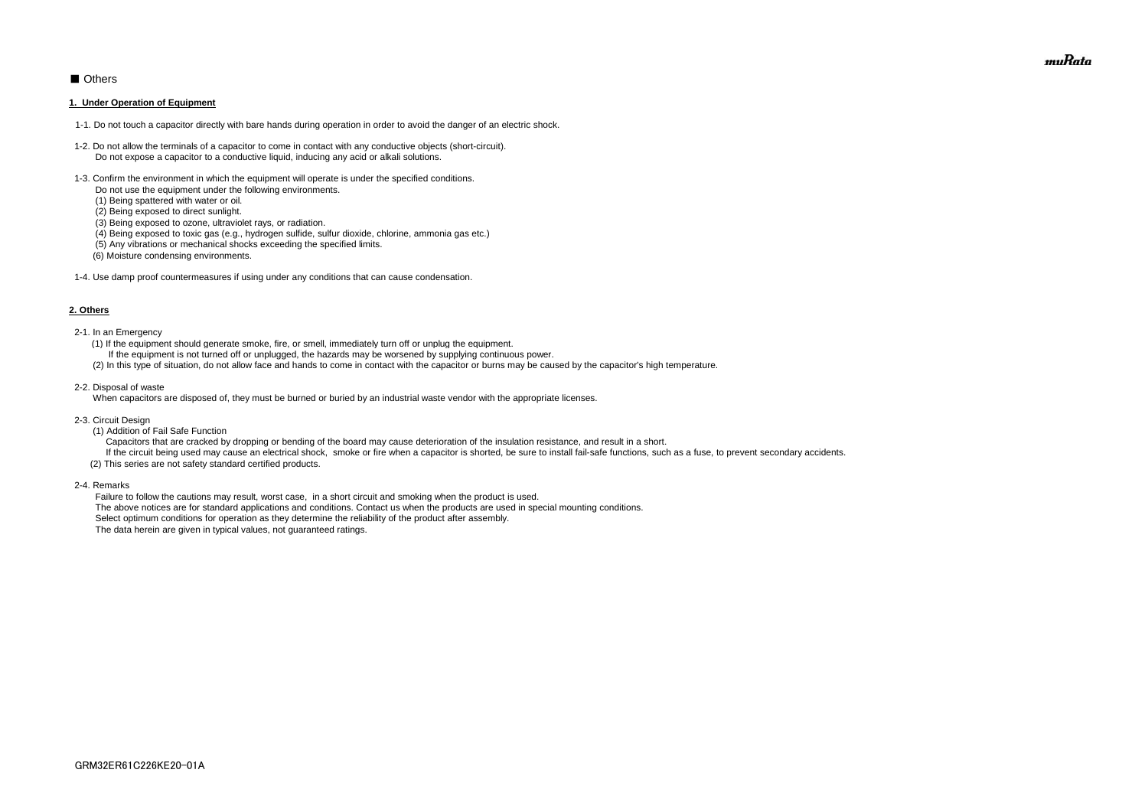# ■ Others

#### **1. Under Operation of Equipment**

- 1-1. Do not touch a capacitor directly with bare hands during operation in order to avoid the danger of an electric shock.
- 1-2. Do not allow the terminals of a capacitor to come in contact with any conductive objects (short-circuit). Do not expose a capacitor to a conductive liquid, inducing any acid or alkali solutions.
- 1-3. Confirm the environment in which the equipment will operate is under the specified conditions.
	- Do not use the equipment under the following environments.
	- (1) Being spattered with water or oil.
	- (2) Being exposed to direct sunlight.
	- (3) Being exposed to ozone, ultraviolet rays, or radiation.
	- (4) Being exposed to toxic gas (e.g., hydrogen sulfide, sulfur dioxide, chlorine, ammonia gas etc.)
	- (5) Any vibrations or mechanical shocks exceeding the specified limits.
	- (6) Moisture condensing environments.
- 1-4. Use damp proof countermeasures if using under any conditions that can cause condensation.

#### **2. Others**

If the circuit being used may cause an electrical shock, smoke or fire when a capacitor is shorted, be sure to install fail-safe functions, such as a fuse, to prevent secondary accidents. (2) This series are not safety standard certified products.

- 2-1. In an Emergency
	- (1) If the equipment should generate smoke, fire, or smell, immediately turn off or unplug the equipment.
	- If the equipment is not turned off or unplugged, the hazards may be worsened by supplying continuous power.
	- (2) In this type of situation, do not allow face and hands to come in contact with the capacitor or burns may be caused by the capacitor's high temperature.
- 2-2. Disposal of waste

When capacitors are disposed of, they must be burned or buried by an industrial waste vendor with the appropriate licenses.

- 2-3. Circuit Design
	- (1) Addition of Fail Safe Function

Capacitors that are cracked by dropping or bending of the board may cause deterioration of the insulation resistance, and result in a short.

2-4. Remarks

 Failure to follow the cautions may result, worst case, in a short circuit and smoking when the product is used. The above notices are for standard applications and conditions. Contact us when the products are used in special mounting conditions. Select optimum conditions for operation as they determine the reliability of the product after assembly. The data herein are given in typical values, not guaranteed ratings.

muRata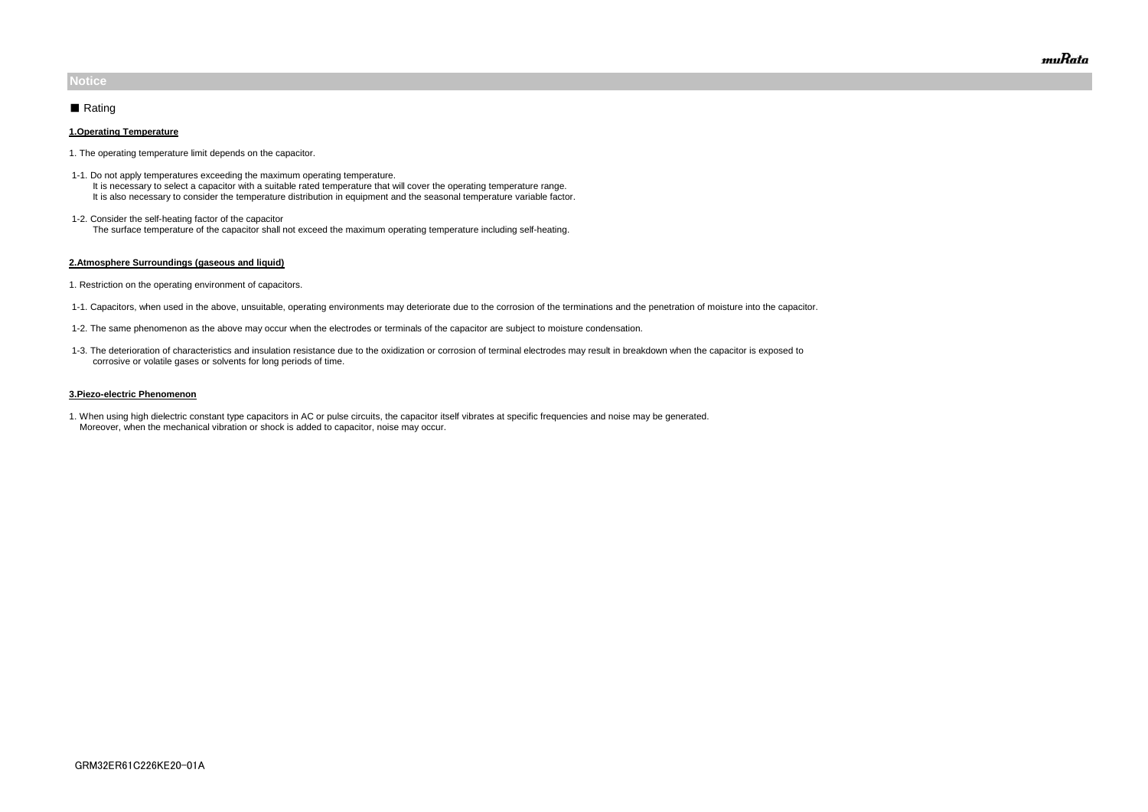#### **1.Operating Temperature**

- 1. The operating temperature limit depends on the capacitor.
- 1-1. Do not apply temperatures exceeding the maximum operating temperature. It is necessary to select a capacitor with a suitable rated temperature that will cover the operating temperature range. It is also necessary to consider the temperature distribution in equipment and the seasonal temperature variable factor.
- 1-2. Consider the self-heating factor of the capacitor The surface temperature of the capacitor shall not exceed the maximum operating temperature including self-heating.

#### **2.Atmosphere Surroundings (gaseous and liquid)**

- 1. Restriction on the operating environment of capacitors.
- 1-1. Capacitors, when used in the above, unsuitable, operating environments may deteriorate due to the corrosion of the terminations and the penetration of moisture into the capacitor.
- 1-2. The same phenomenon as the above may occur when the electrodes or terminals of the capacitor are subject to moisture condensation.
- 1-3. The deterioration of characteristics and insulation resistance due to the oxidization or corrosion of terminal electrodes may result in breakdown when the capacitor is exposed to corrosive or volatile gases or solvents for long periods of time.

#### **3.Piezo-electric Phenomenon**

1. When using high dielectric constant type capacitors in AC or pulse circuits, the capacitor itself vibrates at specific frequencies and noise may be generated. Moreover, when the mechanical vibration or shock is added to capacitor, noise may occur.

# **Notice**

# ■ Rating

muRata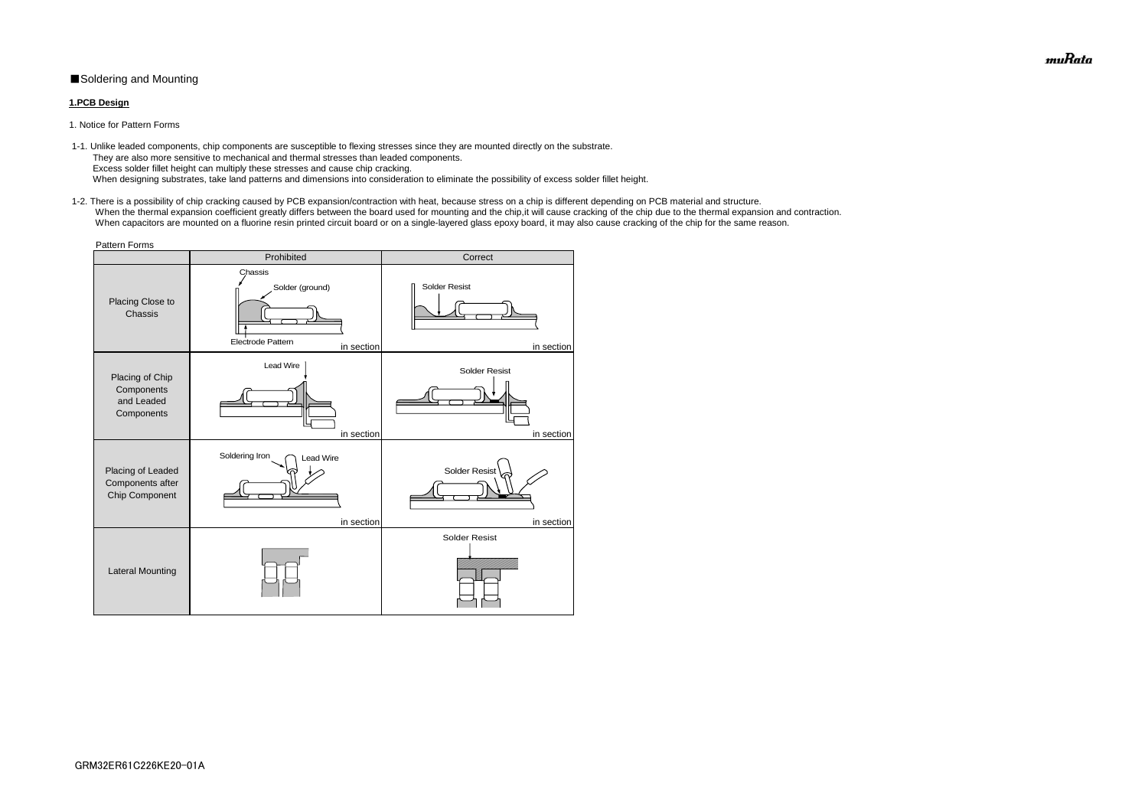# ■Soldering and Mounting

### **1.PCB Design**

1. Notice for Pattern Forms

 1-2. There is a possibility of chip cracking caused by PCB expansion/contraction with heat, because stress on a chip is different depending on PCB material and structure. When the thermal expansion coefficient greatly differs between the board used for mounting and the chip, it will cause cracking of the chip due to the thermal expansion and contraction. When capacitors are mounted on a fluorine resin printed circuit board or on a single-layered glass epoxy board, it may also cause cracking of the chip for the same reason.

 1-1. Unlike leaded components, chip components are susceptible to flexing stresses since they are mounted directly on the substrate. They are also more sensitive to mechanical and thermal stresses than leaded components. Excess solder fillet height can multiply these stresses and cause chip cracking. When designing substrates, take land patterns and dimensions into consideration to eliminate the possibility of excess solder fillet height.

| <b>Pattern Forms</b>                                      |                                                                      |                                    |  |  |  |
|-----------------------------------------------------------|----------------------------------------------------------------------|------------------------------------|--|--|--|
|                                                           | Prohibited                                                           | Correct                            |  |  |  |
| Placing Close to<br>Chassis                               | Chassis<br>Solder (ground)<br><b>Electrode Pattern</b><br>in section | Solder Resist<br>in section        |  |  |  |
| Placing of Chip<br>Components<br>and Leaded<br>Components | <b>Lead Wire</b><br>in section                                       | <b>Solder Resist</b><br>in section |  |  |  |
| Placing of Leaded<br>Components after<br>Chip Component   | Soldering Iron<br><b>Lead Wire</b><br>in section                     | <b>Solder Resist</b><br>in section |  |  |  |
| <b>Lateral Mounting</b>                                   |                                                                      | <b>Solder Resist</b>               |  |  |  |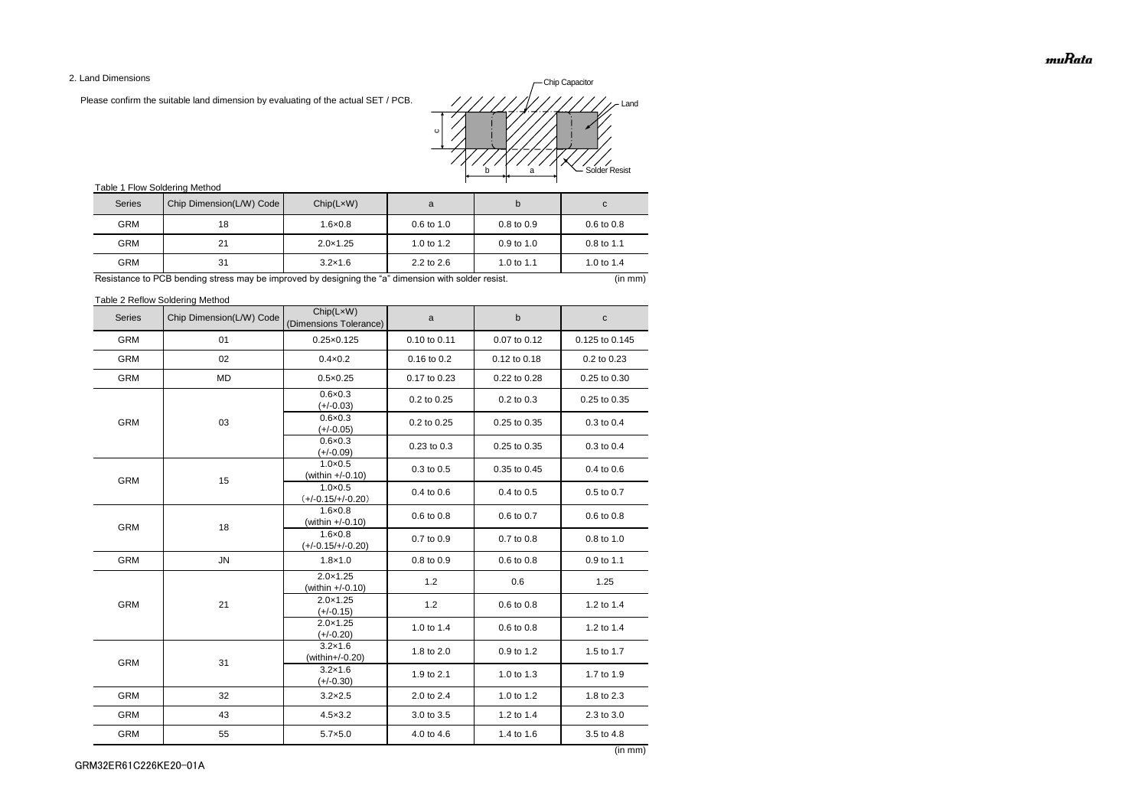2. Land Dimensions

Please confirm the suitable land dimension by evaluating of the actual SET / PCB.

# Table 1 Flow Soldering Method

Table 2 Reflow Soldering Method

(in mm)

| <b>Series</b> | Chip Dimension(L/W) Code | Chip(LxW)<br>(Dimensions Tolerance)      | a            | b            | $\mathbf{C}$   |
|---------------|--------------------------|------------------------------------------|--------------|--------------|----------------|
| <b>GRM</b>    | 01                       | $0.25 \times 0.125$                      | 0.10 to 0.11 | 0.07 to 0.12 | 0.125 to 0.145 |
| <b>GRM</b>    | 02                       | $0.4 \times 0.2$                         | 0.16 to 0.2  | 0.12 to 0.18 | 0.2 to 0.23    |
| <b>GRM</b>    | MD                       | $0.5 \times 0.25$                        | 0.17 to 0.23 | 0.22 to 0.28 | 0.25 to 0.30   |
|               |                          | $0.6 \times 0.3$<br>$(+/-0.03)$          | 0.2 to 0.25  | 0.2 to 0.3   | 0.25 to 0.35   |
| <b>GRM</b>    | 03                       | $0.6 \times 0.3$<br>$(+/-0.05)$          | 0.2 to 0.25  | 0.25 to 0.35 | 0.3 to 0.4     |
|               |                          | $0.6 \times 0.3$<br>$(+/-0.09)$          | 0.23 to 0.3  | 0.25 to 0.35 | 0.3 to 0.4     |
| <b>GRM</b>    | 15                       | $1.0 \times 0.5$<br>(within +/-0.10)     | 0.3 to 0.5   | 0.35 to 0.45 | 0.4 to 0.6     |
|               |                          | $1.0 \times 0.5$<br>$(+/-0.15/+/-0.20)$  | 0.4 to 0.6   | 0.4 to 0.5   | 0.5 to 0.7     |
| <b>GRM</b>    | 18                       | $1.6 \times 0.8$<br>(within +/-0.10)     | 0.6 to 0.8   | 0.6 to 0.7   | 0.6 to 0.8     |
|               |                          | $1.6 \times 0.8$<br>$(+/-0.15/+/-0.20)$  | 0.7 to 0.9   | 0.7 to 0.8   | 0.8 to 1.0     |
| <b>GRM</b>    | ${\sf JN}$               | $1.8 \times 1.0$                         | 0.8 to 0.9   | 0.6 to 0.8   | 0.9 to 1.1     |
|               | 21                       | $2.0 \times 1.25$<br>(within $+/-0.10$ ) | 1.2          | 0.6          | 1.25           |
| <b>GRM</b>    |                          | $2.0 \times 1.25$<br>$(+/-0.15)$         | 1.2          | 0.6 to 0.8   | 1.2 to 1.4     |
|               |                          | $2.0 \times 1.25$<br>$(+/-0.20)$         | 1.0 to 1.4   | 0.6 to 0.8   | 1.2 to 1.4     |
| <b>GRM</b>    | 31                       | $3.2 \times 1.6$<br>(within+/-0.20)      | 1.8 to 2.0   | 0.9 to 1.2   | 1.5 to 1.7     |
|               |                          | $3.2 \times 1.6$<br>(+/-0.30)            | 1.9 to 2.1   | 1.0 to 1.3   | 1.7 to 1.9     |
| <b>GRM</b>    | 32                       | $3.2 \times 2.5$                         | 2.0 to 2.4   | 1.0 to 1.2   | 1.8 to 2.3     |
| GRM           | 43                       | $4.5 \times 3.2$                         | 3.0 to 3.5   | 1.2 to 1.4   | 2.3 to 3.0     |
| <b>GRM</b>    | 55                       | $5.7 \times 5.0$                         | 4.0 to 4.6   | 1.4 to 1.6   | 3.5 to 4.8     |

| <b>Series</b> | Chip Dimension(L/W) Code | Chip(LxW)         | a                     |                       | C                     |
|---------------|--------------------------|-------------------|-----------------------|-----------------------|-----------------------|
| <b>GRM</b>    | 18                       | $1.6 \times 0.8$  | $0.6 \text{ to } 1.0$ | $0.8 \text{ to } 0.9$ | $0.6 \text{ to } 0.8$ |
| <b>GRM</b>    | 21                       | $2.0 \times 1.25$ | 1.0 to $1.2$          | $0.9$ to 1.0          | $0.8 \text{ to } 1.1$ |
| <b>GRM</b>    | 31                       | $3.2 \times 1.6$  | $2.2$ to $2.6$        | 1.0 to 1.1            | 1.0 to $1.4$          |

Resistance to PCB bending stress may be improved by designing the "a" dimension with solder resist. (in mm) (in mm)

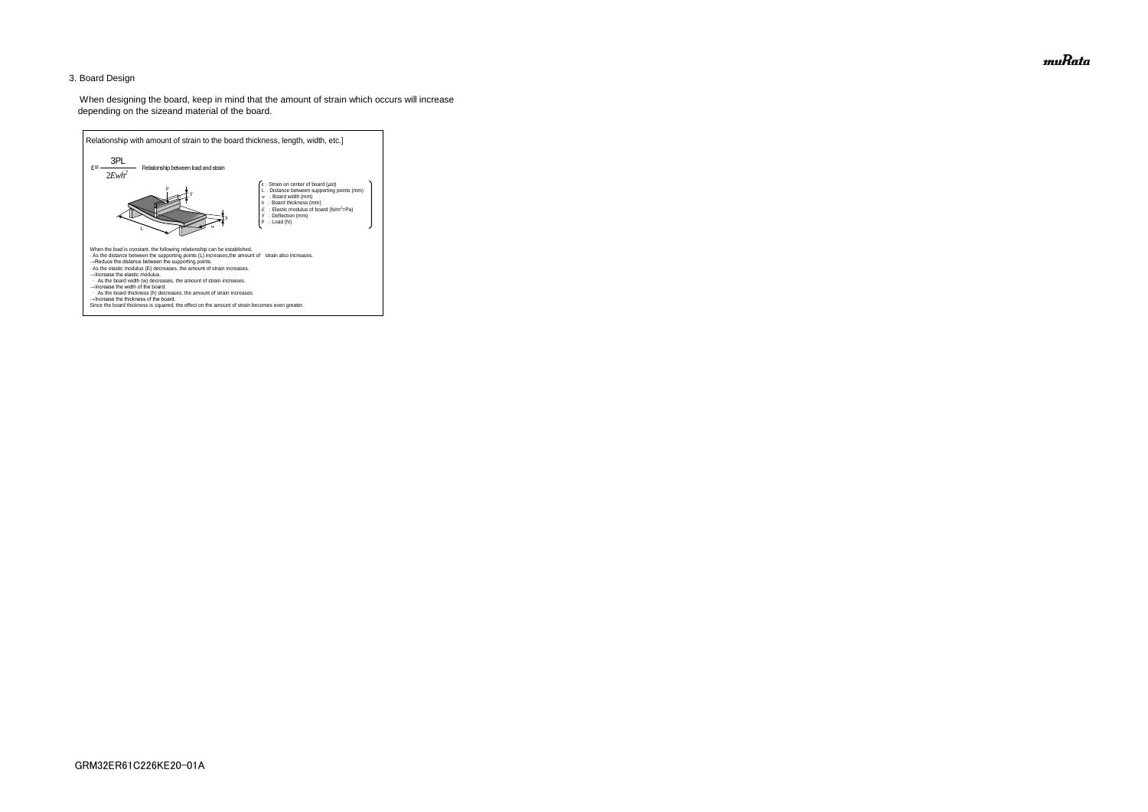### 3. Board Design

 When designing the board, keep in mind that the amount of strain which occurs will increase depending on the sizeand material of the board.



muRata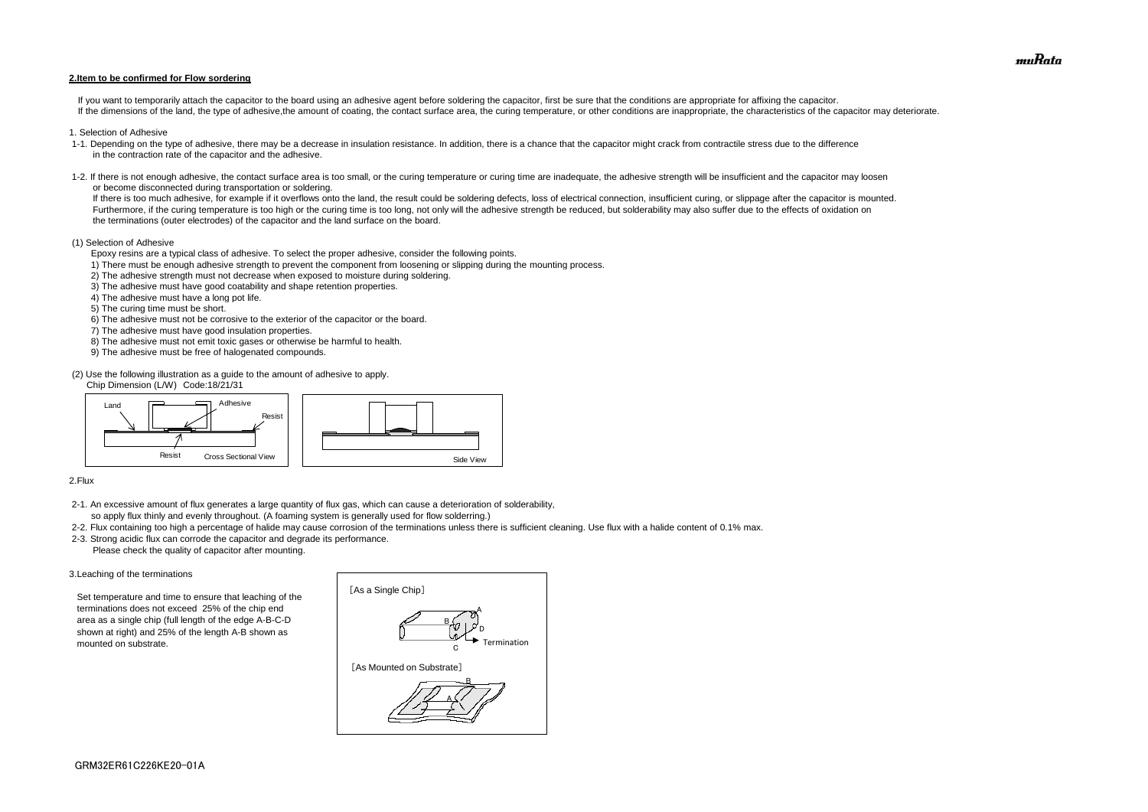#### **2.Item to be confirmed for Flow sordering**

If you want to temporarily attach the capacitor to the board using an adhesive agent before soldering the capacitor, first be sure that the conditions are appropriate for affixing the capacitor. If the dimensions of the land, the type of adhesive, the amount of coating, the contact surface area, the curing temperature, or other conditions are inappropriate, the characteristics of the capacitor may deteriorate.

- 1. Selection of Adhesive
- 1-1. Depending on the type of adhesive, there may be a decrease in insulation resistance. In addition, there is a chance that the capacitor might crack from contractile stress due to the difference in the contraction rate of the capacitor and the adhesive.
- 1-2. If there is not enough adhesive, the contact surface area is too small, or the curing temperature or curing time are inadequate, the adhesive strength will be insufficient and the capacitor may loosen or become disconnected during transportation or soldering.

If there is too much adhesive, for example if it overflows onto the land, the result could be soldering defects, loss of electrical connection, insufficient curing, or slippage after the capacitor is mounted. Furthermore, if the curing temperature is too high or the curing time is too long, not only will the adhesive strength be reduced, but solderability may also suffer due to the effects of oxidation on the terminations (outer electrodes) of the capacitor and the land surface on the board.

#### (1) Selection of Adhesive

Epoxy resins are a typical class of adhesive. To select the proper adhesive, consider the following points.

- 1) There must be enough adhesive strength to prevent the component from loosening or slipping during the mounting process.
- 2) The adhesive strength must not decrease when exposed to moisture during soldering.
- 3) The adhesive must have good coatability and shape retention properties.
- 4) The adhesive must have a long pot life.
- 5) The curing time must be short.
- 6) The adhesive must not be corrosive to the exterior of the capacitor or the board.
- 7) The adhesive must have good insulation properties.
- 8) The adhesive must not emit toxic gases or otherwise be harmful to health.
- 9) The adhesive must be free of halogenated compounds.

(2) Use the following illustration as a guide to the amount of adhesive to apply.

Chip Dimension (L/W) Code:18/21/31

#### 2.Flux

- 2-1. An excessive amount of flux generates a large quantity of flux gas, which can cause a deterioration of solderability, so apply flux thinly and evenly throughout. (A foaming system is generally used for flow solderring.)
- 2-2. Flux containing too high a percentage of halide may cause corrosion of the terminations unless there is sufficient cleaning. Use flux with a halide content of 0.1% max.
- 2-3. Strong acidic flux can corrode the capacitor and degrade its performance. Please check the quality of capacitor after mounting.

#### 3.Leaching of the terminations

 Set temperature and time to ensure that leaching of the terminations does not exceed 25% of the chip end area as a single chip (full length of the edge A-B-C-D shown at right) and 25% of the length A-B shown as mounted on substrate.





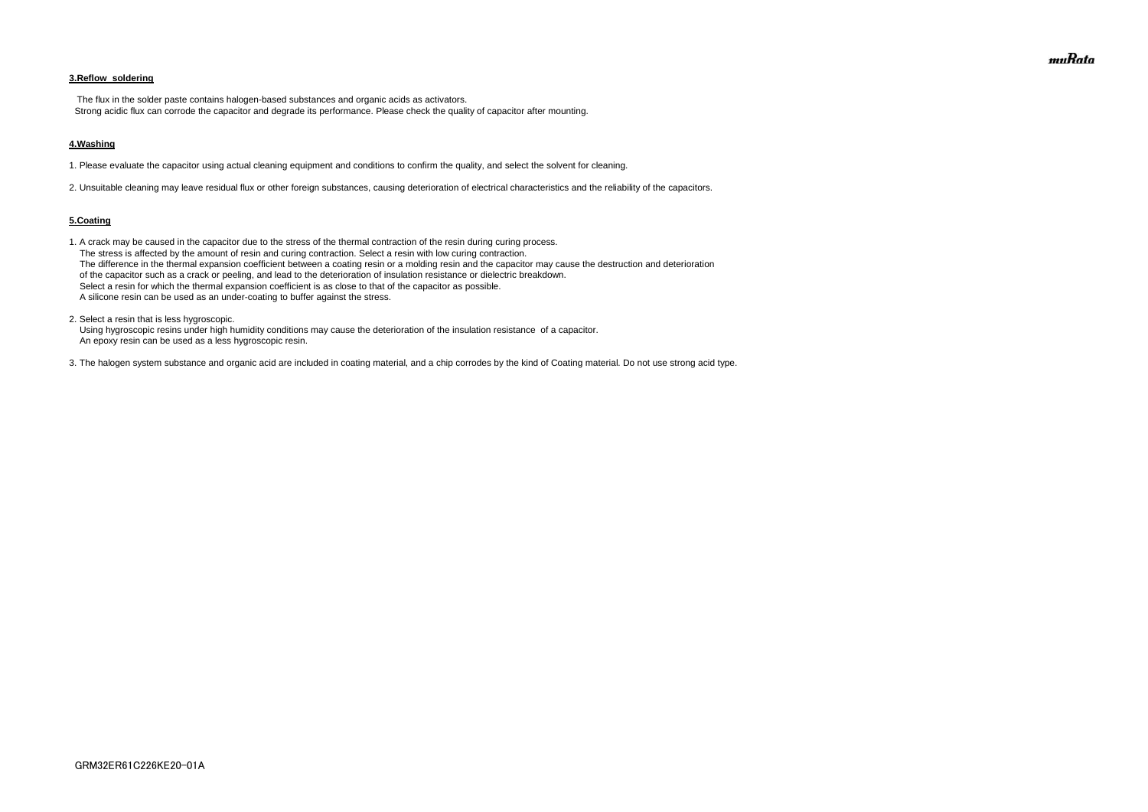# **3.Reflow soldering**

 The flux in the solder paste contains halogen-based substances and organic acids as activators. Strong acidic flux can corrode the capacitor and degrade its performance. Please check the quality of capacitor after mounting.

#### **4.Washing**

1. Please evaluate the capacitor using actual cleaning equipment and conditions to confirm the quality, and select the solvent for cleaning.

2. Unsuitable cleaning may leave residual flux or other foreign substances, causing deterioration of electrical characteristics and the reliability of the capacitors.

#### **5.Coating**

1. A crack may be caused in the capacitor due to the stress of the thermal contraction of the resin during curing process. The stress is affected by the amount of resin and curing contraction. Select a resin with low curing contraction. The difference in the thermal expansion coefficient between a coating resin or a molding resin and the capacitor may cause the destruction and deterioration of the capacitor such as a crack or peeling, and lead to the deterioration of insulation resistance or dielectric breakdown. Select a resin for which the thermal expansion coefficient is as close to that of the capacitor as possible. A silicone resin can be used as an under-coating to buffer against the stress.

2. Select a resin that is less hygroscopic.

 Using hygroscopic resins under high humidity conditions may cause the deterioration of the insulation resistance of a capacitor. An epoxy resin can be used as a less hygroscopic resin.

3. The halogen system substance and organic acid are included in coating material, and a chip corrodes by the kind of Coating material. Do not use strong acid type.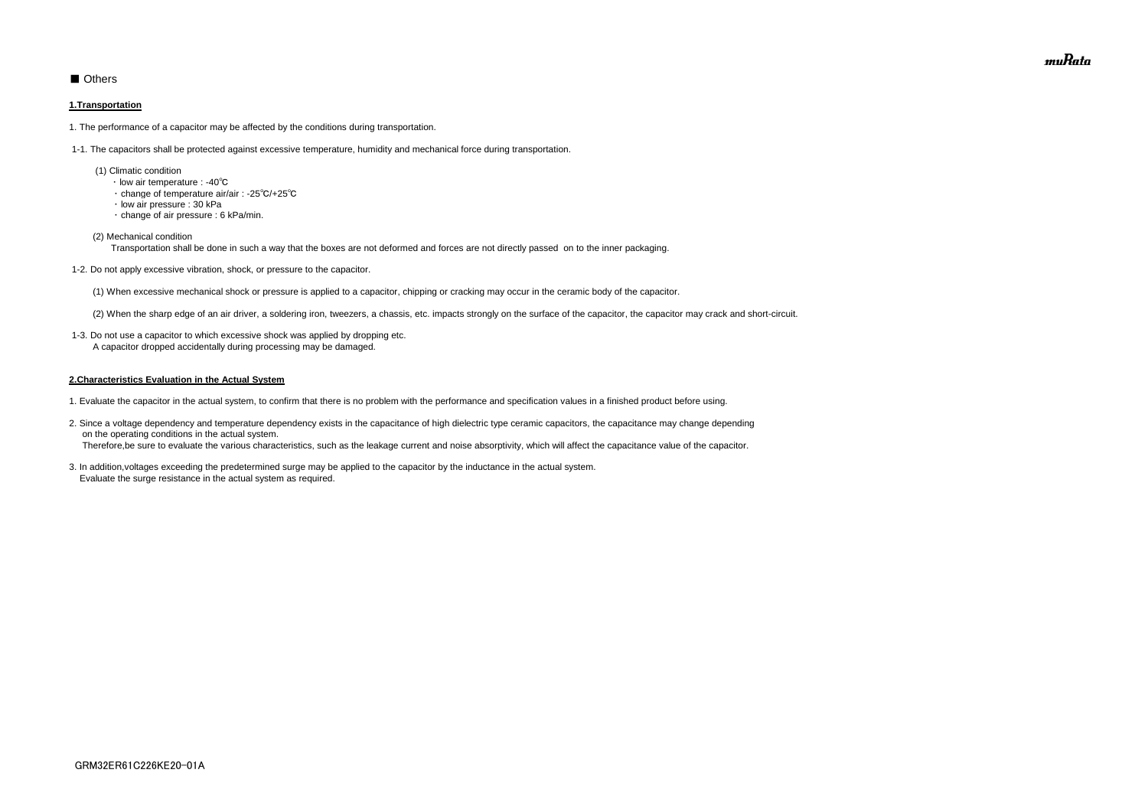# ■ Others

### **1.Transportation**

1. The performance of a capacitor may be affected by the conditions during transportation.

1-1. The capacitors shall be protected against excessive temperature, humidity and mechanical force during transportation.

- (1) Climatic condition
	- ・ low air temperature : -40℃
	- ・ change of temperature air/air : -25℃/+25℃
	- ・ low air pressure : 30 kPa
	- ・ change of air pressure : 6 kPa/min.
- (2) Mechanical condition

Transportation shall be done in such a way that the boxes are not deformed and forces are not directly passed on to the inner packaging.

1-2. Do not apply excessive vibration, shock, or pressure to the capacitor.

(1) When excessive mechanical shock or pressure is applied to a capacitor, chipping or cracking may occur in the ceramic body of the capacitor.

(2) When the sharp edge of an air driver, a soldering iron, tweezers, a chassis, etc. impacts strongly on the surface of the capacitor, the capacitor may crack and short-circuit.

 1-3. Do not use a capacitor to which excessive shock was applied by dropping etc. A capacitor dropped accidentally during processing may be damaged.

#### **2.Characteristics Evaluation in the Actual System**

- 1. Evaluate the capacitor in the actual system, to confirm that there is no problem with the performance and specification values in a finished product before using.
- 2. Since a voltage dependency and temperature dependency exists in the capacitance of high dielectric type ceramic capacitors, the capacitance may change depending on the operating conditions in the actual system. Therefore,be sure to evaluate the various characteristics, such as the leakage current and noise absorptivity, which will affect the capacitance value of the capacitor.
- 3. In addition,voltages exceeding the predetermined surge may be applied to the capacitor by the inductance in the actual system. Evaluate the surge resistance in the actual system as required.

muRata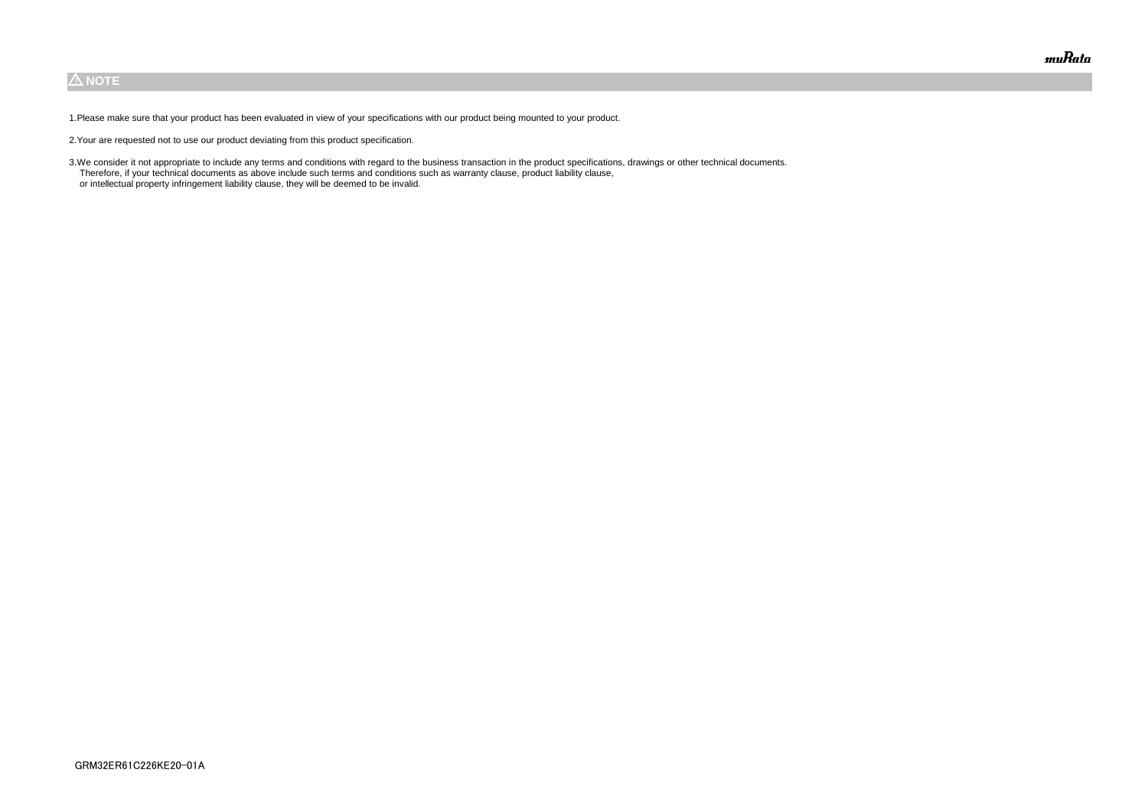# $\triangle$  NOTE

1.Please make sure that your product has been evaluated in view of your specifications with our product being mounted to your product.

2.Your are requested not to use our product deviating from this product specification.

3.We consider it not appropriate to include any terms and conditions with regard to the business transaction in the product specifications, drawings or other technical documents. Therefore, if your technical documents as above include such terms and conditions such as warranty clause, product liability clause, or intellectual property infringement liability clause, they will be deemed to be invalid.